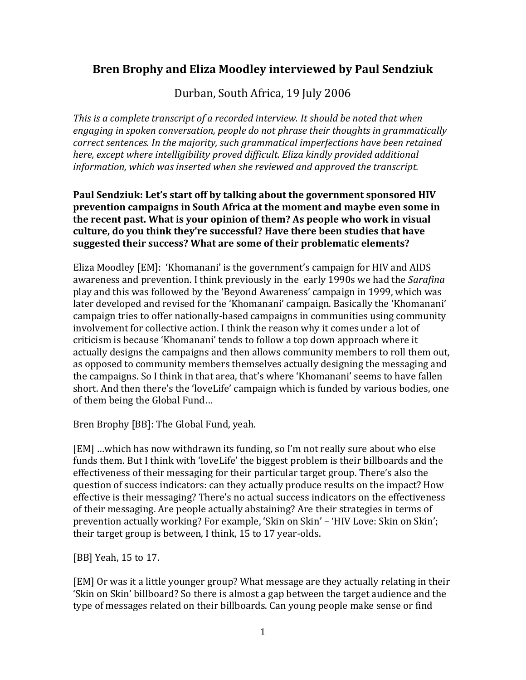# **Bren Brophy and Eliza Moodley interviewed by Paul Sendziuk**

Durban, South Africa, 19 July 2006

*This is a complete transcript of a recorded interview. It should be noted that when engaging in spoken conversation, people do not phrase their thoughts in grammatically correct sentences. In the majority, such grammatical imperfections have been retained here, except where intelligibility proved difficult. Eliza kindly provided additional information, which was inserted when she reviewed and approved the transcript.*

#### **Paul Sendziuk: Let's start off by talking about the government sponsored HIV prevention campaigns in South Africa at the moment and maybe even some in the recent past. What is your opinion of them? As people who work in visual culture, do you think they're successful? Have there been studies that have suggested their success? What are some of their problematic elements?**

Eliza Moodley [EM]: 'Khomanani' is the government's campaign for HIV and AIDS awareness and prevention. I think previously in the early 1990s we had the *Sarafina* play and this was followed by the 'Beyond Awareness' campaign in 1999, which was later developed and revised for the 'Khomanani' campaign. Basically the 'Khomanani' campaign tries to offer nationally-based campaigns in communities using community involvement for collective action. I think the reason why it comes under a lot of criticism is because 'Khomanani' tends to follow a top down approach where it actually designs the campaigns and then allows community members to roll them out, as opposed to community members themselves actually designing the messaging and the campaigns. So I think in that area, that's where 'Khomanani' seems to have fallen short. And then there's the 'loveLife' campaign which is funded by various bodies, one of them being the Global Fund…

Bren Brophy [BB]: The Global Fund, yeah.

[EM] …which has now withdrawn its funding, so I'm not really sure about who else funds them. But I think with 'loveLife' the biggest problem is their billboards and the effectiveness of their messaging for their particular target group. There's also the question of success indicators: can they actually produce results on the impact? How effective is their messaging? There's no actual success indicators on the effectiveness of their messaging. Are people actually abstaining? Are their strategies in terms of prevention actually working? For example, 'Skin on Skin' – 'HIV Love: Skin on Skin'; their target group is between, I think, 15 to 17 year-olds.

[BB] Yeah, 15 to 17.

[EM] Or was it a little younger group? What message are they actually relating in their 'Skin on Skin' billboard? So there is almost a gap between the target audience and the type of messages related on their billboards. Can young people make sense or find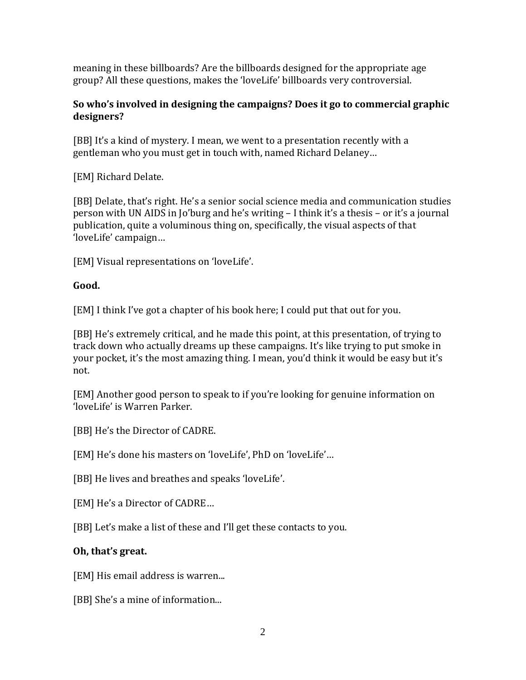meaning in these billboards? Are the billboards designed for the appropriate age group? All these questions, makes the 'loveLife' billboards very controversial.

### **So who's involved in designing the campaigns? Does it go to commercial graphic designers?**

[BB] It's a kind of mystery. I mean, we went to a presentation recently with a gentleman who you must get in touch with, named Richard Delaney…

[EM] Richard Delate.

[BB] Delate, that's right. He's a senior social science media and communication studies person with UN AIDS in Jo'burg and he's writing – I think it's a thesis – or it's a journal publication, quite a voluminous thing on, specifically, the visual aspects of that 'loveLife' campaign…

[EM] Visual representations on 'loveLife'.

### **Good.**

[EM] I think I've got a chapter of his book here; I could put that out for you.

[BB] He's extremely critical, and he made this point, at this presentation, of trying to track down who actually dreams up these campaigns. It's like trying to put smoke in your pocket, it's the most amazing thing. I mean, you'd think it would be easy but it's not.

[EM] Another good person to speak to if you're looking for genuine information on 'loveLife' is Warren Parker.

[BB] He's the Director of CADRE.

[EM] He's done his masters on 'loveLife', PhD on 'loveLife'…

[BB] He lives and breathes and speaks 'loveLife'.

[EM] He's a Director of CADRE…

[BB] Let's make a list of these and I'll get these contacts to you.

# **Oh, that's great.**

[EM] His email address is warren...

[BB] She's a mine of information...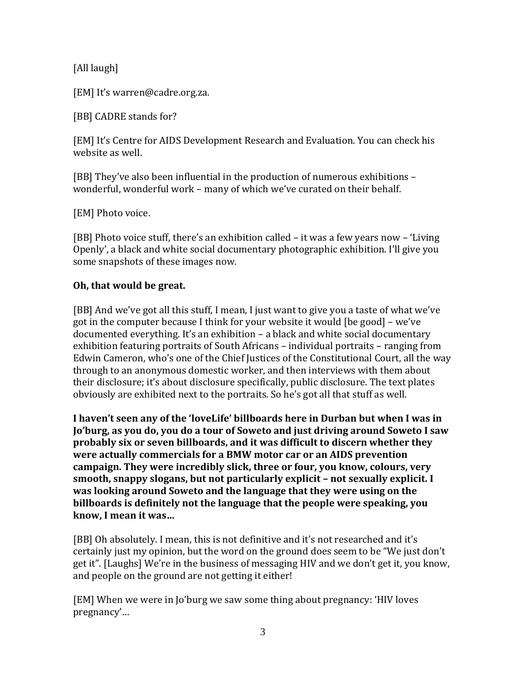[All laugh]

[EM] It's warren@cadre.org.za.

[BB] CADRE stands for?

[EM] It's Centre for AIDS Development Research and Evaluation. You can check his website as well.

[BB] They've also been influential in the production of numerous exhibitions – wonderful, wonderful work – many of which we've curated on their behalf.

[EM] Photo voice.

[BB] Photo voice stuff, there's an exhibition called – it was a few years now – 'Living Openly', a black and white social documentary photographic exhibition. I'll give you some snapshots of these images now.

#### **Oh, that would be great.**

[BB] And we've got all this stuff, I mean, I just want to give you a taste of what we've got in the computer because I think for your website it would [be good] – we've documented everything. It's an exhibition – a black and white social documentary exhibition featuring portraits of South Africans – individual portraits – ranging from Edwin Cameron, who's one of the Chief Justices of the Constitutional Court, all the way through to an anonymous domestic worker, and then interviews with them about their disclosure; it's about disclosure specifically, public disclosure. The text plates obviously are exhibited next to the portraits. So he's got all that stuff as well.

**I haven't seen any of the 'loveLife' billboards here in Durban but when I was in Jo'burg, as you do, you do a tour of Soweto and just driving around Soweto I saw probably six or seven billboards, and it was difficult to discern whether they were actually commercials for a BMW motor car or an AIDS prevention campaign. They were incredibly slick, three or four, you know, colours, very smooth, snappy slogans, but not particularly explicit – not sexually explicit. I was looking around Soweto and the language that they were using on the billboards is definitely not the language that the people were speaking, you know, I mean it was…**

[BB] Oh absolutely. I mean, this is not definitive and it's not researched and it's certainly just my opinion, but the word on the ground does seem to be "We just don't get it". [Laughs] We're in the business of messaging HIV and we don't get it, you know, and people on the ground are not getting it either!

[EM] When we were in Jo'burg we saw some thing about pregnancy: 'HIV loves pregnancy'…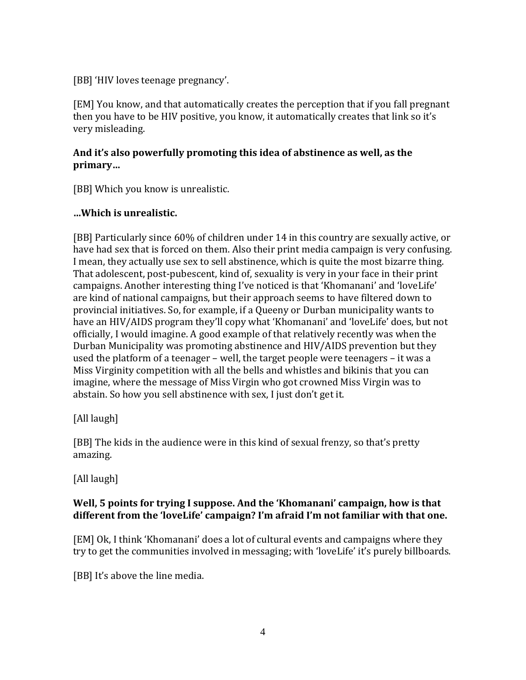[BB] 'HIV loves teenage pregnancy'.

[EM] You know, and that automatically creates the perception that if you fall pregnant then you have to be HIV positive, you know, it automatically creates that link so it's very misleading.

## **And it's also powerfully promoting this idea of abstinence as well, as the primary…**

[BB] Which you know is unrealistic.

### **…Which is unrealistic.**

[BB] Particularly since 60% of children under 14 in this country are sexually active, or have had sex that is forced on them. Also their print media campaign is very confusing. I mean, they actually use sex to sell abstinence, which is quite the most bizarre thing. That adolescent, post-pubescent, kind of, sexuality is very in your face in their print campaigns. Another interesting thing I've noticed is that 'Khomanani' and 'loveLife' are kind of national campaigns, but their approach seems to have filtered down to provincial initiatives. So, for example, if a Queeny or Durban municipality wants to have an HIV/AIDS program they'll copy what 'Khomanani' and 'loveLife' does, but not officially, I would imagine. A good example of that relatively recently was when the Durban Municipality was promoting abstinence and HIV/AIDS prevention but they used the platform of a teenager – well, the target people were teenagers – it was a Miss Virginity competition with all the bells and whistles and bikinis that you can imagine, where the message of Miss Virgin who got crowned Miss Virgin was to abstain. So how you sell abstinence with sex, I just don't get it.

[All laugh]

[BB] The kids in the audience were in this kind of sexual frenzy, so that's pretty amazing.

[All laugh]

### **Well, 5 points for trying I suppose. And the 'Khomanani' campaign, how is that different from the 'loveLife' campaign? I'm afraid I'm not familiar with that one.**

[EM] Ok, I think 'Khomanani' does a lot of cultural events and campaigns where they try to get the communities involved in messaging; with 'loveLife' it's purely billboards.

[BB] It's above the line media.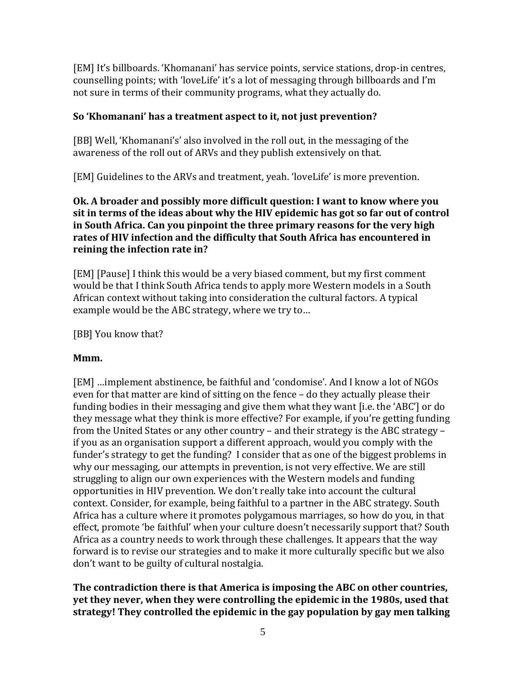[EM] It's billboards. 'Khomanani' has service points, service stations, drop-in centres, counselling points; with 'loveLife' it's a lot of messaging through billboards and I'm not sure in terms of their community programs, what they actually do.

### **So 'Khomanani' has a treatment aspect to it, not just prevention?**

[BB] Well, 'Khomanani's' also involved in the roll out, in the messaging of the awareness of the roll out of ARVs and they publish extensively on that.

[EM] Guidelines to the ARVs and treatment, yeah. 'loveLife' is more prevention.

### **Ok. A broader and possibly more difficult question: I want to know where you sit in terms of the ideas about why the HIV epidemic has got so far out of control in South Africa. Can you pinpoint the three primary reasons for the very high rates of HIV infection and the difficulty that South Africa has encountered in reining the infection rate in?**

[EM] [Pause] I think this would be a very biased comment, but my first comment would be that I think South Africa tends to apply more Western models in a South African context without taking into consideration the cultural factors. A typical example would be the ABC strategy, where we try to…

[BB] You know that?

#### **Mmm.**

[EM] …implement abstinence, be faithful and 'condomise'. And I know a lot of NGOs even for that matter are kind of sitting on the fence – do they actually please their funding bodies in their messaging and give them what they want [i.e. the 'ABC'] or do they message what they think is more effective? For example, if you're getting funding from the United States or any other country – and their strategy is the ABC strategy – if you as an organisation support a different approach, would you comply with the funder's strategy to get the funding? I consider that as one of the biggest problems in why our messaging, our attempts in prevention, is not very effective. We are still struggling to align our own experiences with the Western models and funding opportunities in HIV prevention. We don't really take into account the cultural context. Consider, for example, being faithful to a partner in the ABC strategy. South Africa has a culture where it promotes polygamous marriages, so how do you, in that effect, promote 'be faithful' when your culture doesn't necessarily support that? South Africa as a country needs to work through these challenges. It appears that the way forward is to revise our strategies and to make it more culturally specific but we also don't want to be guilty of cultural nostalgia.

### **The contradiction there is that America is imposing the ABC on other countries, yet they never, when they were controlling the epidemic in the 1980s, used that strategy! They controlled the epidemic in the gay population by gay men talking**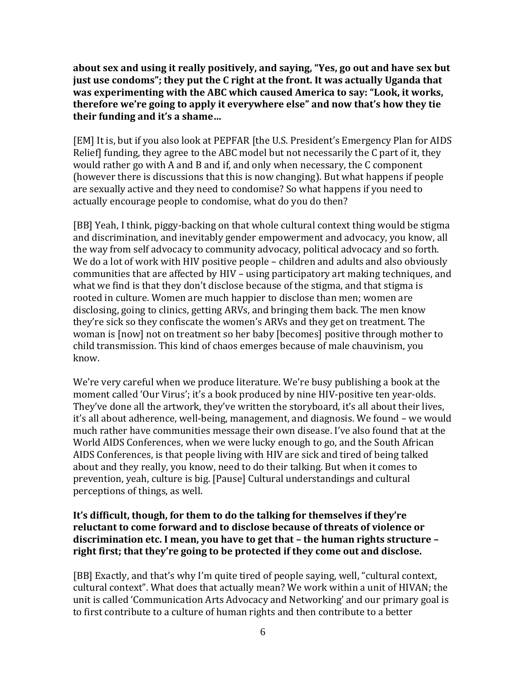**about sex and using it really positively, and saying, "Yes, go out and have sex but just use condoms"; they put the C right at the front. It was actually Uganda that was experimenting with the ABC which caused America to say: "Look, it works, therefore we're going to apply it everywhere else" and now that's how they tie their funding and it's a shame…**

[EM] It is, but if you also look at PEPFAR [the U.S. President's Emergency Plan for AIDS Relief] funding, they agree to the ABC model but not necessarily the C part of it, they would rather go with A and B and if, and only when necessary, the C component (however there is discussions that this is now changing). But what happens if people are sexually active and they need to condomise? So what happens if you need to actually encourage people to condomise, what do you do then?

[BB] Yeah, I think, piggy-backing on that whole cultural context thing would be stigma and discrimination, and inevitably gender empowerment and advocacy, you know, all the way from self advocacy to community advocacy, political advocacy and so forth. We do a lot of work with HIV positive people – children and adults and also obviously communities that are affected by HIV – using participatory art making techniques, and what we find is that they don't disclose because of the stigma, and that stigma is rooted in culture. Women are much happier to disclose than men; women are disclosing, going to clinics, getting ARVs, and bringing them back. The men know they're sick so they confiscate the women's ARVs and they get on treatment. The woman is [now] not on treatment so her baby [becomes] positive through mother to child transmission. This kind of chaos emerges because of male chauvinism, you know.

We're very careful when we produce literature. We're busy publishing a book at the moment called 'Our Virus'; it's a book produced by nine HIV-positive ten year-olds. They've done all the artwork, they've written the storyboard, it's all about their lives, it's all about adherence, well-being, management, and diagnosis. We found – we would much rather have communities message their own disease. I've also found that at the World AIDS Conferences, when we were lucky enough to go, and the South African AIDS Conferences, is that people living with HIV are sick and tired of being talked about and they really, you know, need to do their talking. But when it comes to prevention, yeah, culture is big. [Pause] Cultural understandings and cultural perceptions of things, as well.

### **It's difficult, though, for them to do the talking for themselves if they're reluctant to come forward and to disclose because of threats of violence or discrimination etc. I mean, you have to get that – the human rights structure – right first; that they're going to be protected if they come out and disclose.**

[BB] Exactly, and that's why I'm quite tired of people saying, well, "cultural context, cultural context". What does that actually mean? We work within a unit of HIVAN; the unit is called 'Communication Arts Advocacy and Networking' and our primary goal is to first contribute to a culture of human rights and then contribute to a better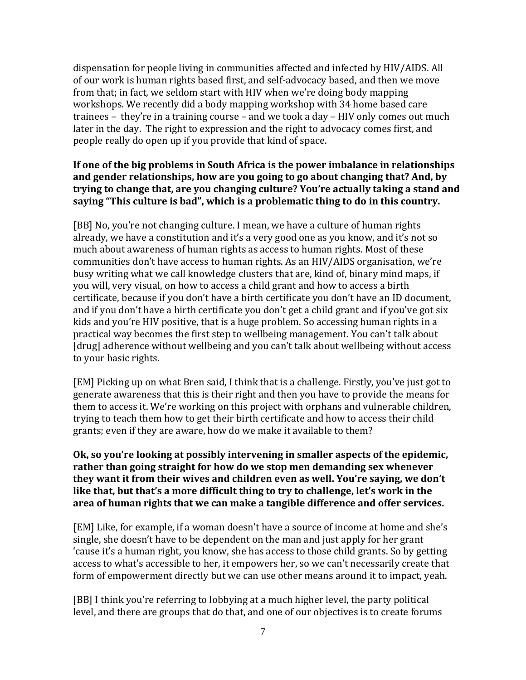dispensation for people living in communities affected and infected by HIV/AIDS. All of our work is human rights based first, and self-advocacy based, and then we move from that; in fact, we seldom start with HIV when we're doing body mapping workshops. We recently did a body mapping workshop with 34 home based care trainees – they're in a training course – and we took a day – HIV only comes out much later in the day. The right to expression and the right to advocacy comes first, and people really do open up if you provide that kind of space.

### **If one of the big problems in South Africa is the power imbalance in relationships and gender relationships, how are you going to go about changing that? And, by trying to change that, are you changing culture? You're actually taking a stand and saying "This culture is bad", which is a problematic thing to do in this country.**

[BB] No, you're not changing culture. I mean, we have a culture of human rights already, we have a constitution and it's a very good one as you know, and it's not so much about awareness of human rights as access to human rights. Most of these communities don't have access to human rights. As an HIV/AIDS organisation, we're busy writing what we call knowledge clusters that are, kind of, binary mind maps, if you will, very visual, on how to access a child grant and how to access a birth certificate, because if you don't have a birth certificate you don't have an ID document, and if you don't have a birth certificate you don't get a child grant and if you've got six kids and you're HIV positive, that is a huge problem. So accessing human rights in a practical way becomes the first step to wellbeing management. You can't talk about [drug] adherence without wellbeing and you can't talk about wellbeing without access to your basic rights.

[EM] Picking up on what Bren said, I think that is a challenge. Firstly, you've just got to generate awareness that this is their right and then you have to provide the means for them to access it. We're working on this project with orphans and vulnerable children, trying to teach them how to get their birth certificate and how to access their child grants; even if they are aware, how do we make it available to them?

#### **Ok, so you're looking at possibly intervening in smaller aspects of the epidemic, rather than going straight for how do we stop men demanding sex whenever they want it from their wives and children even as well. You're saying, we don't like that, but that's a more difficult thing to try to challenge, let's work in the area of human rights that we can make a tangible difference and offer services.**

[EM] Like, for example, if a woman doesn't have a source of income at home and she's single, she doesn't have to be dependent on the man and just apply for her grant 'cause it's a human right, you know, she has access to those child grants. So by getting access to what's accessible to her, it empowers her, so we can't necessarily create that form of empowerment directly but we can use other means around it to impact, yeah.

[BB] I think you're referring to lobbying at a much higher level, the party political level, and there are groups that do that, and one of our objectives is to create forums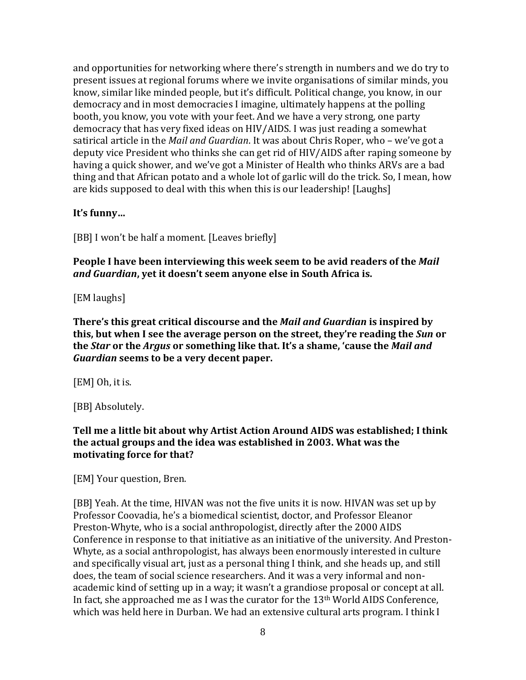and opportunities for networking where there's strength in numbers and we do try to present issues at regional forums where we invite organisations of similar minds, you know, similar like minded people, but it's difficult. Political change, you know, in our democracy and in most democracies I imagine, ultimately happens at the polling booth, you know, you vote with your feet. And we have a very strong, one party democracy that has very fixed ideas on HIV/AIDS. I was just reading a somewhat satirical article in the *Mail and Guardian*. It was about Chris Roper, who – we've got a deputy vice President who thinks she can get rid of HIV/AIDS after raping someone by having a quick shower, and we've got a Minister of Health who thinks ARVs are a bad thing and that African potato and a whole lot of garlic will do the trick. So, I mean, how are kids supposed to deal with this when this is our leadership! [Laughs]

### **It's funny…**

[BB] I won't be half a moment. [Leaves briefly]

### **People I have been interviewing this week seem to be avid readers of the** *Mail and Guardian***, yet it doesn't seem anyone else in South Africa is.**

[EM laughs]

**There's this great critical discourse and the** *Mail and Guardian* **is inspired by this, but when I see the average person on the street, they're reading the** *Sun* **or the** *Star* **or the** *Argus* **or something like that. It's a shame, 'cause the** *Mail and Guardian* **seems to be a very decent paper.** 

[EM] Oh, it is.

[BB] Absolutely.

### **Tell me a little bit about why Artist Action Around AIDS was established; I think the actual groups and the idea was established in 2003. What was the motivating force for that?**

[EM] Your question, Bren.

[BB] Yeah. At the time, HIVAN was not the five units it is now. HIVAN was set up by Professor Coovadia, he's a biomedical scientist, doctor, and Professor Eleanor Preston-Whyte, who is a social anthropologist, directly after the 2000 AIDS Conference in response to that initiative as an initiative of the university. And Preston-Whyte, as a social anthropologist, has always been enormously interested in culture and specifically visual art, just as a personal thing I think, and she heads up, and still does, the team of social science researchers. And it was a very informal and nonacademic kind of setting up in a way; it wasn't a grandiose proposal or concept at all. In fact, she approached me as I was the curator for the 13th World AIDS Conference, which was held here in Durban. We had an extensive cultural arts program. I think I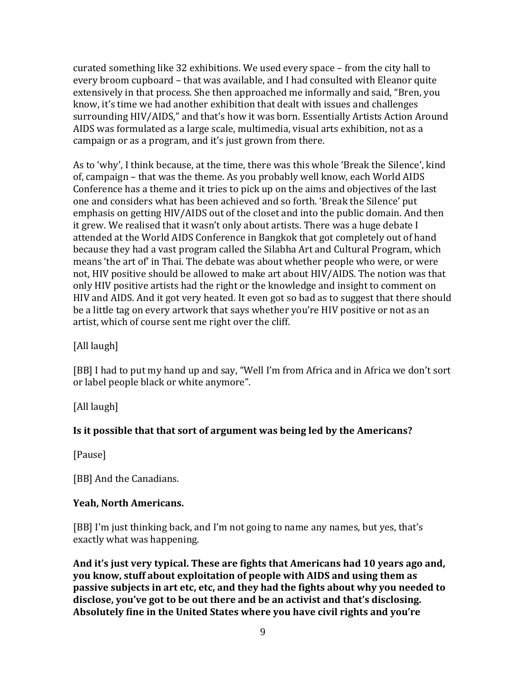curated something like 32 exhibitions. We used every space – from the city hall to every broom cupboard – that was available, and I had consulted with Eleanor quite extensively in that process. She then approached me informally and said, "Bren, you know, it's time we had another exhibition that dealt with issues and challenges surrounding HIV/AIDS," and that's how it was born. Essentially Artists Action Around AIDS was formulated as a large scale, multimedia, visual arts exhibition, not as a campaign or as a program, and it's just grown from there.

As to 'why', I think because, at the time, there was this whole 'Break the Silence', kind of, campaign – that was the theme. As you probably well know, each World AIDS Conference has a theme and it tries to pick up on the aims and objectives of the last one and considers what has been achieved and so forth. 'Break the Silence' put emphasis on getting HIV/AIDS out of the closet and into the public domain. And then it grew. We realised that it wasn't only about artists. There was a huge debate I attended at the World AIDS Conference in Bangkok that got completely out of hand because they had a vast program called the Silabha Art and Cultural Program, which means 'the art of' in Thai. The debate was about whether people who were, or were not, HIV positive should be allowed to make art about HIV/AIDS. The notion was that only HIV positive artists had the right or the knowledge and insight to comment on HIV and AIDS. And it got very heated. It even got so bad as to suggest that there should be a little tag on every artwork that says whether you're HIV positive or not as an artist, which of course sent me right over the cliff.

[All laugh]

[BB] I had to put my hand up and say, "Well I'm from Africa and in Africa we don't sort or label people black or white anymore".

[All laugh]

#### **Is it possible that that sort of argument was being led by the Americans?**

[Pause]

[BB] And the Canadians.

#### **Yeah, North Americans.**

[BB] I'm just thinking back, and I'm not going to name any names, but yes, that's exactly what was happening.

**And it's just very typical. These are fights that Americans had 10 years ago and, you know, stuff about exploitation of people with AIDS and using them as passive subjects in art etc, etc, and they had the fights about why you needed to disclose, you've got to be out there and be an activist and that's disclosing. Absolutely fine in the United States where you have civil rights and you're**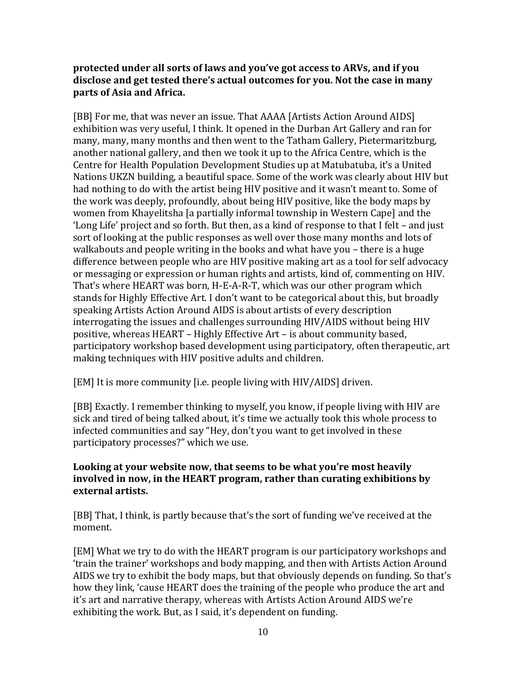#### **protected under all sorts of laws and you've got access to ARVs, and if you disclose and get tested there's actual outcomes for you. Not the case in many parts of Asia and Africa.**

[BB] For me, that was never an issue. That AAAA [Artists Action Around AIDS] exhibition was very useful, I think. It opened in the Durban Art Gallery and ran for many, many, many months and then went to the Tatham Gallery, Pietermaritzburg, another national gallery, and then we took it up to the Africa Centre, which is the Centre for Health Population Development Studies up at Matubatuba, it's a United Nations UKZN building, a beautiful space. Some of the work was clearly about HIV but had nothing to do with the artist being HIV positive and it wasn't meant to. Some of the work was deeply, profoundly, about being HIV positive, like the body maps by women from Khayelitsha [a partially informal township in Western Cape] and the 'Long Life' project and so forth. But then, as a kind of response to that I felt – and just sort of looking at the public responses as well over those many months and lots of walkabouts and people writing in the books and what have you – there is a huge difference between people who are HIV positive making art as a tool for self advocacy or messaging or expression or human rights and artists, kind of, commenting on HIV. That's where HEART was born, H-E-A-R-T, which was our other program which stands for Highly Effective Art. I don't want to be categorical about this, but broadly speaking Artists Action Around AIDS is about artists of every description interrogating the issues and challenges surrounding HIV/AIDS without being HIV positive, whereas HEART – Highly Effective Art – is about community based, participatory workshop based development using participatory, often therapeutic, art making techniques with HIV positive adults and children.

[EM] It is more community [i.e. people living with HIV/AIDS] driven.

[BB] Exactly. I remember thinking to myself, you know, if people living with HIV are sick and tired of being talked about, it's time we actually took this whole process to infected communities and say "Hey, don't you want to get involved in these participatory processes?" which we use.

### **Looking at your website now, that seems to be what you're most heavily involved in now, in the HEART program, rather than curating exhibitions by external artists.**

[BB] That, I think, is partly because that's the sort of funding we've received at the moment.

[EM] What we try to do with the HEART program is our participatory workshops and 'train the trainer' workshops and body mapping, and then with Artists Action Around AIDS we try to exhibit the body maps, but that obviously depends on funding. So that's how they link, 'cause HEART does the training of the people who produce the art and it's art and narrative therapy, whereas with Artists Action Around AIDS we're exhibiting the work. But, as I said, it's dependent on funding.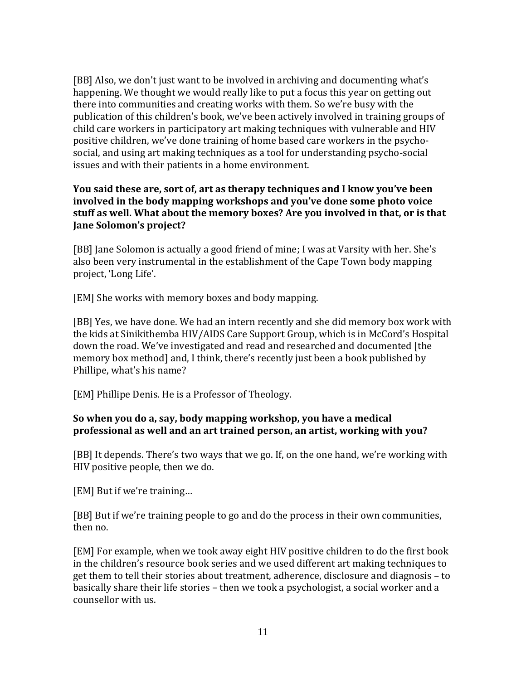[BB] Also, we don't just want to be involved in archiving and documenting what's happening. We thought we would really like to put a focus this year on getting out there into communities and creating works with them. So we're busy with the publication of this children's book, we've been actively involved in training groups of child care workers in participatory art making techniques with vulnerable and HIV positive children, we've done training of home based care workers in the psychosocial, and using art making techniques as a tool for understanding psycho-social issues and with their patients in a home environment.

#### **You said these are, sort of, art as therapy techniques and I know you've been involved in the body mapping workshops and you've done some photo voice stuff as well. What about the memory boxes? Are you involved in that, or is that Jane Solomon's project?**

[BB] Jane Solomon is actually a good friend of mine; I was at Varsity with her. She's also been very instrumental in the establishment of the Cape Town body mapping project, 'Long Life'.

[EM] She works with memory boxes and body mapping.

[BB] Yes, we have done. We had an intern recently and she did memory box work with the kids at Sinikithemba HIV/AIDS Care Support Group, which is in McCord's Hospital down the road. We've investigated and read and researched and documented [the memory box method] and, I think, there's recently just been a book published by Phillipe, what's his name?

[EM] Phillipe Denis. He is a Professor of Theology.

#### **So when you do a, say, body mapping workshop, you have a medical professional as well and an art trained person, an artist, working with you?**

[BB] It depends. There's two ways that we go. If, on the one hand, we're working with HIV positive people, then we do.

[EM] But if we're training…

[BB] But if we're training people to go and do the process in their own communities, then no.

[EM] For example, when we took away eight HIV positive children to do the first book in the children's resource book series and we used different art making techniques to get them to tell their stories about treatment, adherence, disclosure and diagnosis – to basically share their life stories – then we took a psychologist, a social worker and a counsellor with us.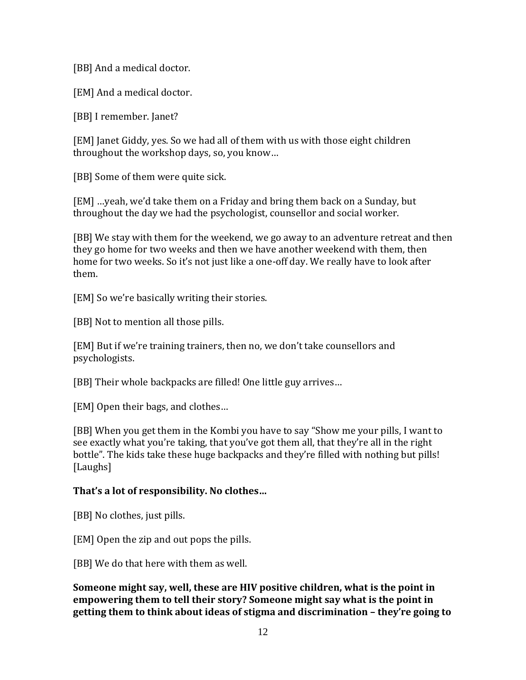[BB] And a medical doctor.

[EM] And a medical doctor.

[BB] I remember. Janet?

[EM] Janet Giddy, yes. So we had all of them with us with those eight children throughout the workshop days, so, you know…

[BB] Some of them were quite sick.

[EM] …yeah, we'd take them on a Friday and bring them back on a Sunday, but throughout the day we had the psychologist, counsellor and social worker.

[BB] We stay with them for the weekend, we go away to an adventure retreat and then they go home for two weeks and then we have another weekend with them, then home for two weeks. So it's not just like a one-off day. We really have to look after them.

[EM] So we're basically writing their stories.

[BB] Not to mention all those pills.

[EM] But if we're training trainers, then no, we don't take counsellors and psychologists.

[BB] Their whole backpacks are filled! One little guy arrives…

[EM] Open their bags, and clothes…

[BB] When you get them in the Kombi you have to say "Show me your pills, I want to see exactly what you're taking, that you've got them all, that they're all in the right bottle". The kids take these huge backpacks and they're filled with nothing but pills! [Laughs]

# **That's a lot of responsibility. No clothes…**

[BB] No clothes, just pills.

[EM] Open the zip and out pops the pills.

[BB] We do that here with them as well.

**Someone might say, well, these are HIV positive children, what is the point in empowering them to tell their story? Someone might say what is the point in getting them to think about ideas of stigma and discrimination – they're going to**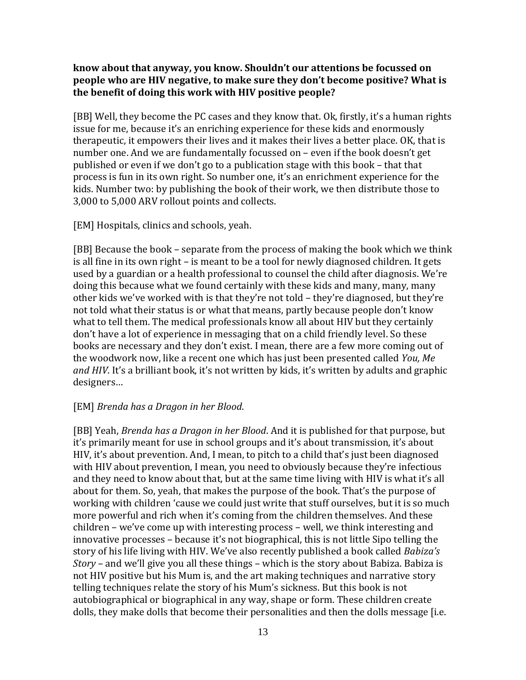#### **know about that anyway, you know. Shouldn't our attentions be focussed on people who are HIV negative, to make sure they don't become positive? What is the benefit of doing this work with HIV positive people?**

[BB] Well, they become the PC cases and they know that. Ok, firstly, it's a human rights issue for me, because it's an enriching experience for these kids and enormously therapeutic, it empowers their lives and it makes their lives a better place. OK, that is number one. And we are fundamentally focussed on – even if the book doesn't get published or even if we don't go to a publication stage with this book – that that process is fun in its own right. So number one, it's an enrichment experience for the kids. Number two: by publishing the book of their work, we then distribute those to 3,000 to 5,000 ARV rollout points and collects.

[EM] Hospitals, clinics and schools, yeah.

[BB] Because the book – separate from the process of making the book which we think is all fine in its own right – is meant to be a tool for newly diagnosed children. It gets used by a guardian or a health professional to counsel the child after diagnosis. We're doing this because what we found certainly with these kids and many, many, many other kids we've worked with is that they're not told – they're diagnosed, but they're not told what their status is or what that means, partly because people don't know what to tell them. The medical professionals know all about HIV but they certainly don't have a lot of experience in messaging that on a child friendly level. So these books are necessary and they don't exist. I mean, there are a few more coming out of the woodwork now, like a recent one which has just been presented called *You, Me and HIV*. It's a brilliant book, it's not written by kids, it's written by adults and graphic designers…

#### [EM] *Brenda has a Dragon in her Blood*.

[BB] Yeah, *Brenda has a Dragon in her Blood*. And it is published for that purpose, but it's primarily meant for use in school groups and it's about transmission, it's about HIV, it's about prevention. And, I mean, to pitch to a child that's just been diagnosed with HIV about prevention, I mean, you need to obviously because they're infectious and they need to know about that, but at the same time living with HIV is what it's all about for them. So, yeah, that makes the purpose of the book. That's the purpose of working with children 'cause we could just write that stuff ourselves, but it is so much more powerful and rich when it's coming from the children themselves. And these children – we've come up with interesting process – well, we think interesting and innovative processes – because it's not biographical, this is not little Sipo telling the story of his life living with HIV. We've also recently published a book called *Babiza's Story* – and we'll give you all these things – which is the story about Babiza. Babiza is not HIV positive but his Mum is, and the art making techniques and narrative story telling techniques relate the story of his Mum's sickness. But this book is not autobiographical or biographical in any way, shape or form. These children create dolls, they make dolls that become their personalities and then the dolls message [i.e.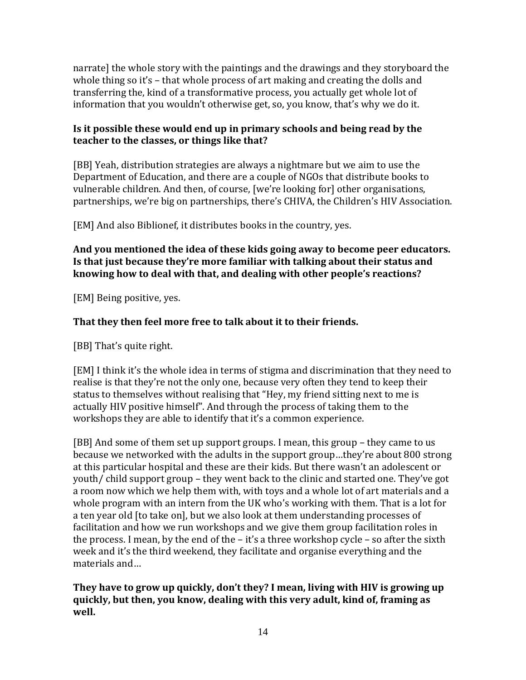narrate] the whole story with the paintings and the drawings and they storyboard the whole thing so it's – that whole process of art making and creating the dolls and transferring the, kind of a transformative process, you actually get whole lot of information that you wouldn't otherwise get, so, you know, that's why we do it.

## **Is it possible these would end up in primary schools and being read by the teacher to the classes, or things like that?**

[BB] Yeah, distribution strategies are always a nightmare but we aim to use the Department of Education, and there are a couple of NGOs that distribute books to vulnerable children. And then, of course, [we're looking for] other organisations, partnerships, we're big on partnerships, there's CHIVA, the Children's HIV Association.

[EM] And also Biblionef, it distributes books in the country, yes.

### **And you mentioned the idea of these kids going away to become peer educators. Is that just because they're more familiar with talking about their status and knowing how to deal with that, and dealing with other people's reactions?**

[EM] Being positive, yes.

# **That they then feel more free to talk about it to their friends.**

[BB] That's quite right.

[EM] I think it's the whole idea in terms of stigma and discrimination that they need to realise is that they're not the only one, because very often they tend to keep their status to themselves without realising that "Hey, my friend sitting next to me is actually HIV positive himself". And through the process of taking them to the workshops they are able to identify that it's a common experience.

[BB] And some of them set up support groups. I mean, this group – they came to us because we networked with the adults in the support group…they're about 800 strong at this particular hospital and these are their kids. But there wasn't an adolescent or youth/ child support group – they went back to the clinic and started one. They've got a room now which we help them with, with toys and a whole lot of art materials and a whole program with an intern from the UK who's working with them. That is a lot for a ten year old [to take on], but we also look at them understanding processes of facilitation and how we run workshops and we give them group facilitation roles in the process. I mean, by the end of the – it's a three workshop cycle – so after the sixth week and it's the third weekend, they facilitate and organise everything and the materials and…

**They have to grow up quickly, don't they? I mean, living with HIV is growing up quickly, but then, you know, dealing with this very adult, kind of, framing as well.**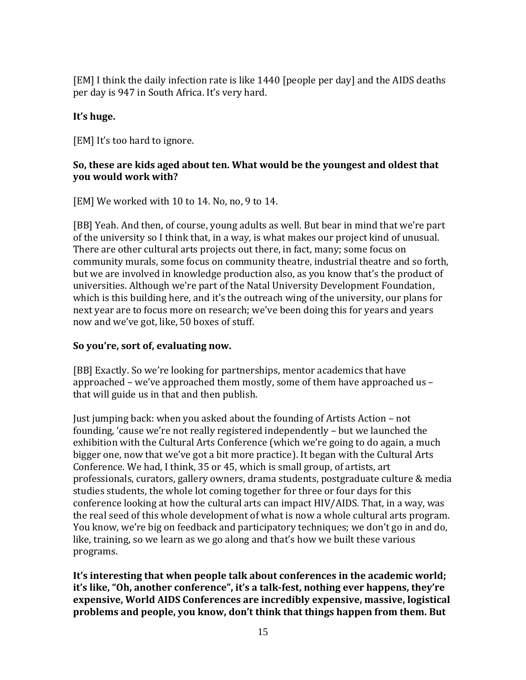[EM] I think the daily infection rate is like 1440 [people per day] and the AIDS deaths per day is 947 in South Africa. It's very hard.

# **It's huge.**

[EM] It's too hard to ignore.

# **So, these are kids aged about ten. What would be the youngest and oldest that you would work with?**

[EM] We worked with 10 to 14. No, no, 9 to 14.

[BB] Yeah. And then, of course, young adults as well. But bear in mind that we're part of the university so I think that, in a way, is what makes our project kind of unusual. There are other cultural arts projects out there, in fact, many; some focus on community murals, some focus on community theatre, industrial theatre and so forth, but we are involved in knowledge production also, as you know that's the product of universities. Although we're part of the Natal University Development Foundation, which is this building here, and it's the outreach wing of the university, our plans for next year are to focus more on research; we've been doing this for years and years now and we've got, like, 50 boxes of stuff.

# **So you're, sort of, evaluating now.**

[BB] Exactly. So we're looking for partnerships, mentor academics that have approached – we've approached them mostly, some of them have approached us – that will guide us in that and then publish.

Just jumping back: when you asked about the founding of Artists Action – not founding, 'cause we're not really registered independently – but we launched the exhibition with the Cultural Arts Conference (which we're going to do again, a much bigger one, now that we've got a bit more practice). It began with the Cultural Arts Conference. We had, I think, 35 or 45, which is small group, of artists, art professionals, curators, gallery owners, drama students, postgraduate culture & media studies students, the whole lot coming together for three or four days for this conference looking at how the cultural arts can impact HIV/AIDS. That, in a way, was the real seed of this whole development of what is now a whole cultural arts program. You know, we're big on feedback and participatory techniques; we don't go in and do, like, training, so we learn as we go along and that's how we built these various programs.

**It's interesting that when people talk about conferences in the academic world; it's like, "Oh, another conference", it's a talk-fest, nothing ever happens, they're expensive, World AIDS Conferences are incredibly expensive, massive, logistical problems and people, you know, don't think that things happen from them. But**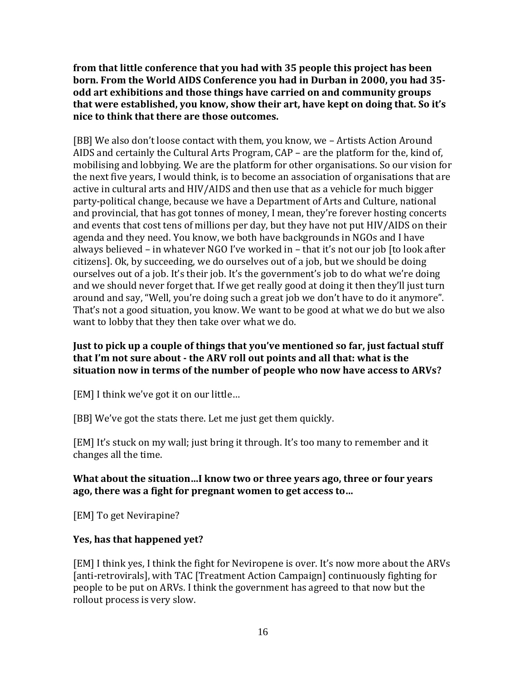**from that little conference that you had with 35 people this project has been born. From the World AIDS Conference you had in Durban in 2000, you had 35 odd art exhibitions and those things have carried on and community groups that were established, you know, show their art, have kept on doing that. So it's nice to think that there are those outcomes.**

[BB] We also don't loose contact with them, you know, we – Artists Action Around AIDS and certainly the Cultural Arts Program, CAP – are the platform for the, kind of, mobilising and lobbying. We are the platform for other organisations. So our vision for the next five years, I would think, is to become an association of organisations that are active in cultural arts and HIV/AIDS and then use that as a vehicle for much bigger party-political change, because we have a Department of Arts and Culture, national and provincial, that has got tonnes of money, I mean, they're forever hosting concerts and events that cost tens of millions per day, but they have not put HIV/AIDS on their agenda and they need. You know, we both have backgrounds in NGOs and I have always believed – in whatever NGO I've worked in – that it's not our job [to look after citizens]. Ok, by succeeding, we do ourselves out of a job, but we should be doing ourselves out of a job. It's their job. It's the government's job to do what we're doing and we should never forget that. If we get really good at doing it then they'll just turn around and say, "Well, you're doing such a great job we don't have to do it anymore". That's not a good situation, you know. We want to be good at what we do but we also want to lobby that they then take over what we do.

### **Just to pick up a couple of things that you've mentioned so far, just factual stuff that I'm not sure about - the ARV roll out points and all that: what is the situation now in terms of the number of people who now have access to ARVs?**

[EM] I think we've got it on our little…

[BB] We've got the stats there. Let me just get them quickly.

[EM] It's stuck on my wall; just bring it through. It's too many to remember and it changes all the time.

# **What about the situation…I know two or three years ago, three or four years ago, there was a fight for pregnant women to get access to…**

[EM] To get Nevirapine?

# **Yes, has that happened yet?**

[EM] I think yes, I think the fight for Neviropene is over. It's now more about the ARVs [anti-retrovirals], with TAC [Treatment Action Campaign] continuously fighting for people to be put on ARVs. I think the government has agreed to that now but the rollout process is very slow.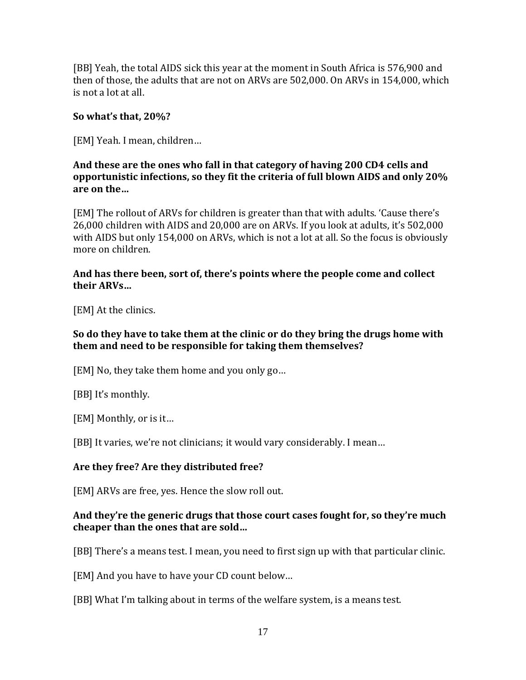[BB] Yeah, the total AIDS sick this year at the moment in South Africa is 576,900 and then of those, the adults that are not on ARVs are 502,000. On ARVs in 154,000, which is not a lot at all.

### **So what's that, 20%?**

[EM] Yeah. I mean, children…

### **And these are the ones who fall in that category of having 200 CD4 cells and opportunistic infections, so they fit the criteria of full blown AIDS and only 20% are on the…**

[EM] The rollout of ARVs for children is greater than that with adults. 'Cause there's 26,000 children with AIDS and 20,000 are on ARVs. If you look at adults, it's 502,000 with AIDS but only 154,000 on ARVs, which is not a lot at all. So the focus is obviously more on children.

### **And has there been, sort of, there's points where the people come and collect their ARVs…**

[EM] At the clinics.

## **So do they have to take them at the clinic or do they bring the drugs home with them and need to be responsible for taking them themselves?**

[EM] No, they take them home and you only go…

[BB] It's monthly.

[EM] Monthly, or is it…

[BB] It varies, we're not clinicians; it would vary considerably. I mean…

# **Are they free? Are they distributed free?**

[EM] ARVs are free, yes. Hence the slow roll out.

### **And they're the generic drugs that those court cases fought for, so they're much cheaper than the ones that are sold…**

[BB] There's a means test. I mean, you need to first sign up with that particular clinic.

[EM] And you have to have your CD count below…

[BB] What I'm talking about in terms of the welfare system, is a means test.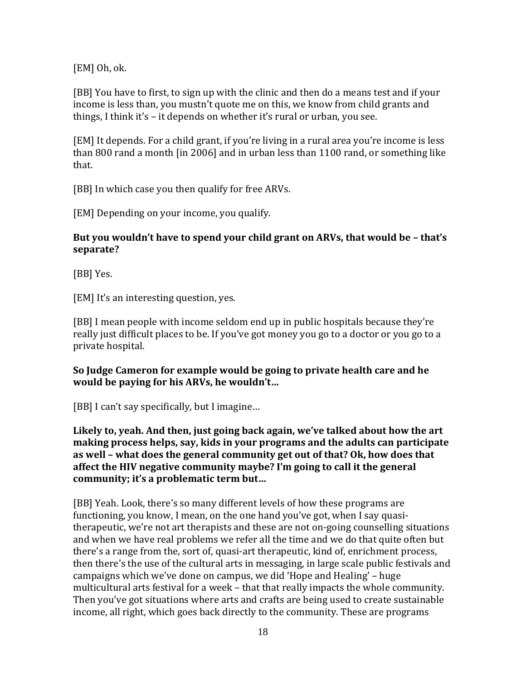[EM] Oh, ok.

[BB] You have to first, to sign up with the clinic and then do a means test and if your income is less than, you mustn't quote me on this, we know from child grants and things, I think it's – it depends on whether it's rural or urban, you see.

[EM] It depends. For a child grant, if you're living in a rural area you're income is less than 800 rand a month [in 2006] and in urban less than 1100 rand, or something like that.

[BB] In which case you then qualify for free ARVs.

[EM] Depending on your income, you qualify.

### **But you wouldn't have to spend your child grant on ARVs, that would be – that's separate?**

[BB] Yes.

[EM] It's an interesting question, yes.

[BB] I mean people with income seldom end up in public hospitals because they're really just difficult places to be. If you've got money you go to a doctor or you go to a private hospital.

### **So Judge Cameron for example would be going to private health care and he would be paying for his ARVs, he wouldn't…**

[BB] I can't say specifically, but I imagine...

**Likely to, yeah. And then, just going back again, we've talked about how the art making process helps, say, kids in your programs and the adults can participate as well – what does the general community get out of that? Ok, how does that affect the HIV negative community maybe? I'm going to call it the general community; it's a problematic term but…**

[BB] Yeah. Look, there's so many different levels of how these programs are functioning, you know, I mean, on the one hand you've got, when I say quasitherapeutic, we're not art therapists and these are not on-going counselling situations and when we have real problems we refer all the time and we do that quite often but there's a range from the, sort of, quasi-art therapeutic, kind of, enrichment process, then there's the use of the cultural arts in messaging, in large scale public festivals and campaigns which we've done on campus, we did 'Hope and Healing' – huge multicultural arts festival for a week – that that really impacts the whole community. Then you've got situations where arts and crafts are being used to create sustainable income, all right, which goes back directly to the community. These are programs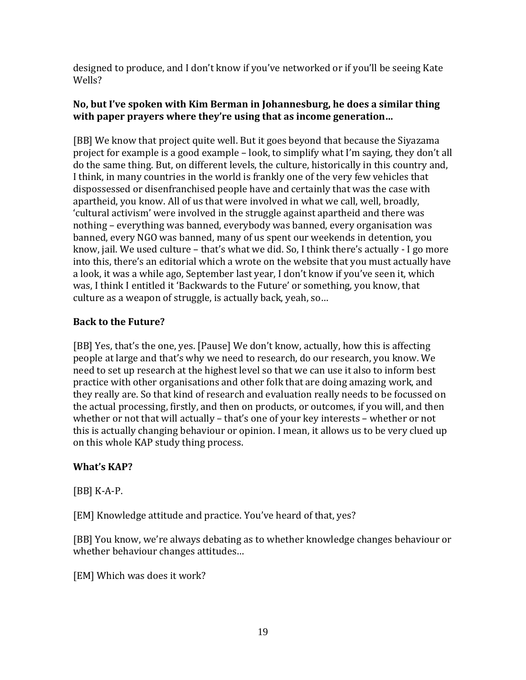designed to produce, and I don't know if you've networked or if you'll be seeing Kate Wells?

## **No, but I've spoken with Kim Berman in Johannesburg, he does a similar thing with paper prayers where they're using that as income generation…**

[BB] We know that project quite well. But it goes beyond that because the Siyazama project for example is a good example – look, to simplify what I'm saying, they don't all do the same thing. But, on different levels, the culture, historically in this country and, I think, in many countries in the world is frankly one of the very few vehicles that dispossessed or disenfranchised people have and certainly that was the case with apartheid, you know. All of us that were involved in what we call, well, broadly, 'cultural activism' were involved in the struggle against apartheid and there was nothing – everything was banned, everybody was banned, every organisation was banned, every NGO was banned, many of us spent our weekends in detention, you know, jail. We used culture – that's what we did. So, I think there's actually - I go more into this, there's an editorial which a wrote on the website that you must actually have a look, it was a while ago, September last year, I don't know if you've seen it, which was, I think I entitled it 'Backwards to the Future' or something, you know, that culture as a weapon of struggle, is actually back, yeah, so…

# **Back to the Future?**

[BB] Yes, that's the one, yes. [Pause] We don't know, actually, how this is affecting people at large and that's why we need to research, do our research, you know. We need to set up research at the highest level so that we can use it also to inform best practice with other organisations and other folk that are doing amazing work, and they really are. So that kind of research and evaluation really needs to be focussed on the actual processing, firstly, and then on products, or outcomes, if you will, and then whether or not that will actually – that's one of your key interests – whether or not this is actually changing behaviour or opinion. I mean, it allows us to be very clued up on this whole KAP study thing process.

# **What's KAP?**

[BB] K-A-P.

[EM] Knowledge attitude and practice. You've heard of that, yes?

[BB] You know, we're always debating as to whether knowledge changes behaviour or whether behaviour changes attitudes…

[EM] Which was does it work?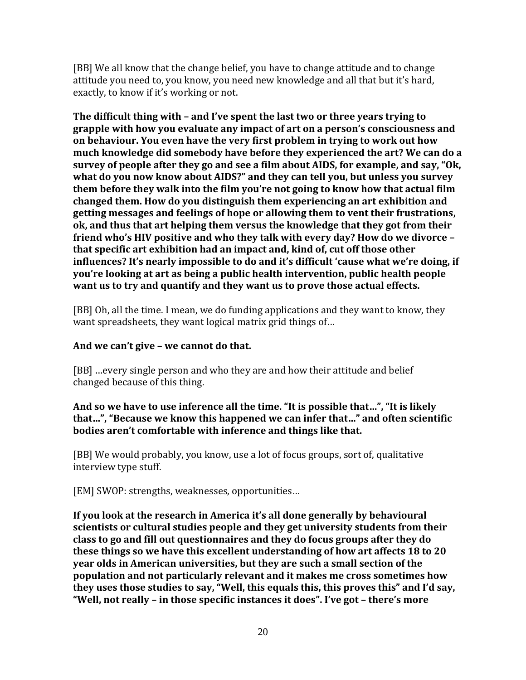[BB] We all know that the change belief, you have to change attitude and to change attitude you need to, you know, you need new knowledge and all that but it's hard, exactly, to know if it's working or not.

**The difficult thing with – and I've spent the last two or three years trying to grapple with how you evaluate any impact of art on a person's consciousness and on behaviour. You even have the very first problem in trying to work out how much knowledge did somebody have before they experienced the art? We can do a survey of people after they go and see a film about AIDS, for example, and say, "Ok, what do you now know about AIDS?" and they can tell you, but unless you survey them before they walk into the film you're not going to know how that actual film changed them. How do you distinguish them experiencing an art exhibition and getting messages and feelings of hope or allowing them to vent their frustrations, ok, and thus that art helping them versus the knowledge that they got from their friend who's HIV positive and who they talk with every day? How do we divorce – that specific art exhibition had an impact and, kind of, cut off those other influences? It's nearly impossible to do and it's difficult 'cause what we're doing, if you're looking at art as being a public health intervention, public health people want us to try and quantify and they want us to prove those actual effects.**

[BB] Oh, all the time. I mean, we do funding applications and they want to know, they want spreadsheets, they want logical matrix grid things of…

# **And we can't give – we cannot do that.**

[BB] …every single person and who they are and how their attitude and belief changed because of this thing.

**And so we have to use inference all the time. "It is possible that…", "It is likely that…", "Because we know this happened we can infer that…" and often scientific bodies aren't comfortable with inference and things like that.**

[BB] We would probably, you know, use a lot of focus groups, sort of, qualitative interview type stuff.

[EM] SWOP: strengths, weaknesses, opportunities…

**If you look at the research in America it's all done generally by behavioural scientists or cultural studies people and they get university students from their class to go and fill out questionnaires and they do focus groups after they do these things so we have this excellent understanding of how art affects 18 to 20 year olds in American universities, but they are such a small section of the population and not particularly relevant and it makes me cross sometimes how they uses those studies to say, "Well, this equals this, this proves this" and I'd say, "Well, not really – in those specific instances it does". I've got – there's more**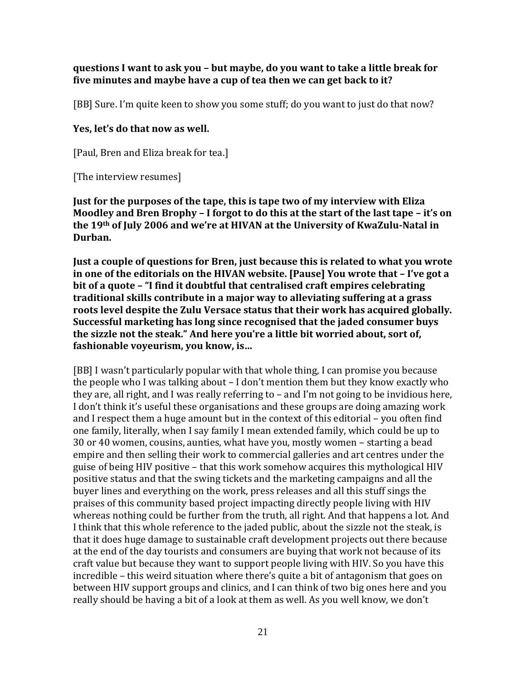#### **questions I want to ask you – but maybe, do you want to take a little break for five minutes and maybe have a cup of tea then we can get back to it?**

[BB] Sure. I'm quite keen to show you some stuff; do you want to just do that now?

#### **Yes, let's do that now as well.**

[Paul, Bren and Eliza break for tea.]

[The interview resumes]

**Just for the purposes of the tape, this is tape two of my interview with Eliza Moodley and Bren Brophy – I forgot to do this at the start of the last tape – it's on the 19th of July 2006 and we're at HIVAN at the University of KwaZulu-Natal in Durban.**

**Just a couple of questions for Bren, just because this is related to what you wrote in one of the editorials on the HIVAN website. [Pause] You wrote that – I've got a bit of a quote – "I find it doubtful that centralised craft empires celebrating traditional skills contribute in a major way to alleviating suffering at a grass roots level despite the Zulu Versace status that their work has acquired globally. Successful marketing has long since recognised that the jaded consumer buys the sizzle not the steak." And here you're a little bit worried about, sort of, fashionable voyeurism, you know, is…**

[BB] I wasn't particularly popular with that whole thing, I can promise you because the people who I was talking about – I don't mention them but they know exactly who they are, all right, and I was really referring to – and I'm not going to be invidious here, I don't think it's useful these organisations and these groups are doing amazing work and I respect them a huge amount but in the context of this editorial – you often find one family, literally, when I say family I mean extended family, which could be up to 30 or 40 women, cousins, aunties, what have you, mostly women – starting a bead empire and then selling their work to commercial galleries and art centres under the guise of being HIV positive – that this work somehow acquires this mythological HIV positive status and that the swing tickets and the marketing campaigns and all the buyer lines and everything on the work, press releases and all this stuff sings the praises of this community based project impacting directly people living with HIV whereas nothing could be further from the truth, all right. And that happens a lot. And I think that this whole reference to the jaded public, about the sizzle not the steak, is that it does huge damage to sustainable craft development projects out there because at the end of the day tourists and consumers are buying that work not because of its craft value but because they want to support people living with HIV. So you have this incredible – this weird situation where there's quite a bit of antagonism that goes on between HIV support groups and clinics, and I can think of two big ones here and you really should be having a bit of a look at them as well. As you well know, we don't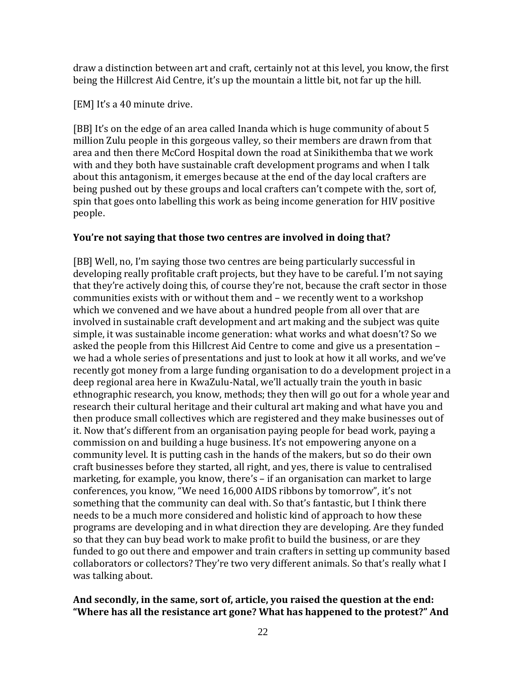draw a distinction between art and craft, certainly not at this level, you know, the first being the Hillcrest Aid Centre, it's up the mountain a little bit, not far up the hill.

[EM] It's a 40 minute drive.

[BB] It's on the edge of an area called Inanda which is huge community of about 5 million Zulu people in this gorgeous valley, so their members are drawn from that area and then there McCord Hospital down the road at Sinikithemba that we work with and they both have sustainable craft development programs and when I talk about this antagonism, it emerges because at the end of the day local crafters are being pushed out by these groups and local crafters can't compete with the, sort of, spin that goes onto labelling this work as being income generation for HIV positive people.

#### **You're not saying that those two centres are involved in doing that?**

[BB] Well, no, I'm saying those two centres are being particularly successful in developing really profitable craft projects, but they have to be careful. I'm not saying that they're actively doing this, of course they're not, because the craft sector in those communities exists with or without them and – we recently went to a workshop which we convened and we have about a hundred people from all over that are involved in sustainable craft development and art making and the subject was quite simple, it was sustainable income generation: what works and what doesn't? So we asked the people from this Hillcrest Aid Centre to come and give us a presentation – we had a whole series of presentations and just to look at how it all works, and we've recently got money from a large funding organisation to do a development project in a deep regional area here in KwaZulu-Natal, we'll actually train the youth in basic ethnographic research, you know, methods; they then will go out for a whole year and research their cultural heritage and their cultural art making and what have you and then produce small collectives which are registered and they make businesses out of it. Now that's different from an organisation paying people for bead work, paying a commission on and building a huge business. It's not empowering anyone on a community level. It is putting cash in the hands of the makers, but so do their own craft businesses before they started, all right, and yes, there is value to centralised marketing, for example, you know, there's – if an organisation can market to large conferences, you know, "We need 16,000 AIDS ribbons by tomorrow", it's not something that the community can deal with. So that's fantastic, but I think there needs to be a much more considered and holistic kind of approach to how these programs are developing and in what direction they are developing. Are they funded so that they can buy bead work to make profit to build the business, or are they funded to go out there and empower and train crafters in setting up community based collaborators or collectors? They're two very different animals. So that's really what I was talking about.

### **And secondly, in the same, sort of, article, you raised the question at the end: "Where has all the resistance art gone? What has happened to the protest?" And**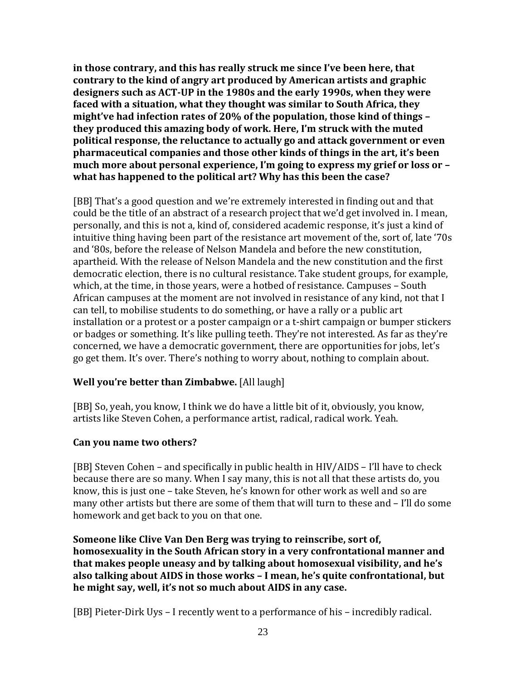**in those contrary, and this has really struck me since I've been here, that contrary to the kind of angry art produced by American artists and graphic designers such as ACT-UP in the 1980s and the early 1990s, when they were faced with a situation, what they thought was similar to South Africa, they might've had infection rates of 20% of the population, those kind of things – they produced this amazing body of work. Here, I'm struck with the muted political response, the reluctance to actually go and attack government or even pharmaceutical companies and those other kinds of things in the art, it's been much more about personal experience, I'm going to express my grief or loss or – what has happened to the political art? Why has this been the case?**

[BB] That's a good question and we're extremely interested in finding out and that could be the title of an abstract of a research project that we'd get involved in. I mean, personally, and this is not a, kind of, considered academic response, it's just a kind of intuitive thing having been part of the resistance art movement of the, sort of, late '70s and '80s, before the release of Nelson Mandela and before the new constitution, apartheid. With the release of Nelson Mandela and the new constitution and the first democratic election, there is no cultural resistance. Take student groups, for example, which, at the time, in those years, were a hotbed of resistance. Campuses – South African campuses at the moment are not involved in resistance of any kind, not that I can tell, to mobilise students to do something, or have a rally or a public art installation or a protest or a poster campaign or a t-shirt campaign or bumper stickers or badges or something. It's like pulling teeth. They're not interested. As far as they're concerned, we have a democratic government, there are opportunities for jobs, let's go get them. It's over. There's nothing to worry about, nothing to complain about.

# **Well you're better than Zimbabwe.** [All laugh]

[BB] So, yeah, you know, I think we do have a little bit of it, obviously, you know, artists like Steven Cohen, a performance artist, radical, radical work. Yeah.

#### **Can you name two others?**

[BB] Steven Cohen – and specifically in public health in HIV/AIDS – I'll have to check because there are so many. When I say many, this is not all that these artists do, you know, this is just one – take Steven, he's known for other work as well and so are many other artists but there are some of them that will turn to these and – I'll do some homework and get back to you on that one.

**Someone like Clive Van Den Berg was trying to reinscribe, sort of, homosexuality in the South African story in a very confrontational manner and that makes people uneasy and by talking about homosexual visibility, and he's also talking about AIDS in those works – I mean, he's quite confrontational, but he might say, well, it's not so much about AIDS in any case.**

[BB] Pieter-Dirk Uys – I recently went to a performance of his – incredibly radical.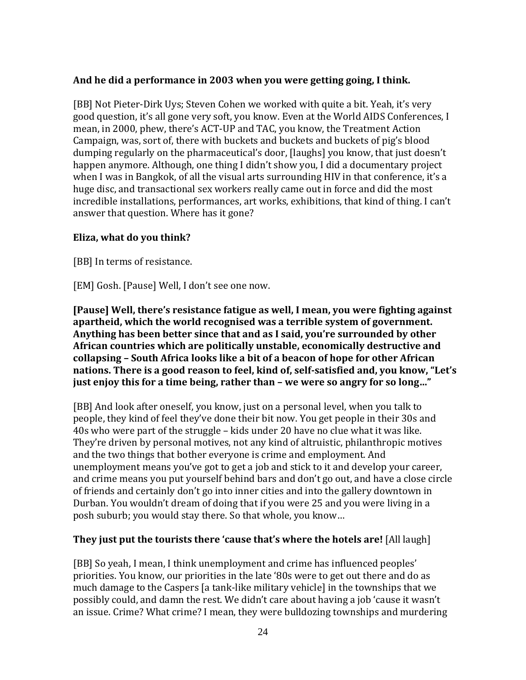### **And he did a performance in 2003 when you were getting going, I think.**

[BB] Not Pieter-Dirk Uys; Steven Cohen we worked with quite a bit. Yeah, it's very good question, it's all gone very soft, you know. Even at the World AIDS Conferences, I mean, in 2000, phew, there's ACT-UP and TAC, you know, the Treatment Action Campaign, was, sort of, there with buckets and buckets and buckets of pig's blood dumping regularly on the pharmaceutical's door, [laughs] you know, that just doesn't happen anymore. Although, one thing I didn't show you, I did a documentary project when I was in Bangkok, of all the visual arts surrounding HIV in that conference, it's a huge disc, and transactional sex workers really came out in force and did the most incredible installations, performances, art works, exhibitions, that kind of thing. I can't answer that question. Where has it gone?

#### **Eliza, what do you think?**

[BB] In terms of resistance.

[EM] Gosh. [Pause] Well, I don't see one now.

**[Pause] Well, there's resistance fatigue as well, I mean, you were fighting against apartheid, which the world recognised was a terrible system of government. Anything has been better since that and as I said, you're surrounded by other African countries which are politically unstable, economically destructive and collapsing – South Africa looks like a bit of a beacon of hope for other African nations. There is a good reason to feel, kind of, self-satisfied and, you know, "Let's just enjoy this for a time being, rather than – we were so angry for so long…"**

[BB] And look after oneself, you know, just on a personal level, when you talk to people, they kind of feel they've done their bit now. You get people in their 30s and 40s who were part of the struggle – kids under 20 have no clue what it was like. They're driven by personal motives, not any kind of altruistic, philanthropic motives and the two things that bother everyone is crime and employment. And unemployment means you've got to get a job and stick to it and develop your career, and crime means you put yourself behind bars and don't go out, and have a close circle of friends and certainly don't go into inner cities and into the gallery downtown in Durban. You wouldn't dream of doing that if you were 25 and you were living in a posh suburb; you would stay there. So that whole, you know…

#### **They just put the tourists there 'cause that's where the hotels are!** [All laugh]

[BB] So yeah, I mean, I think unemployment and crime has influenced peoples' priorities. You know, our priorities in the late '80s were to get out there and do as much damage to the Caspers [a tank-like military vehicle] in the townships that we possibly could, and damn the rest. We didn't care about having a job 'cause it wasn't an issue. Crime? What crime? I mean, they were bulldozing townships and murdering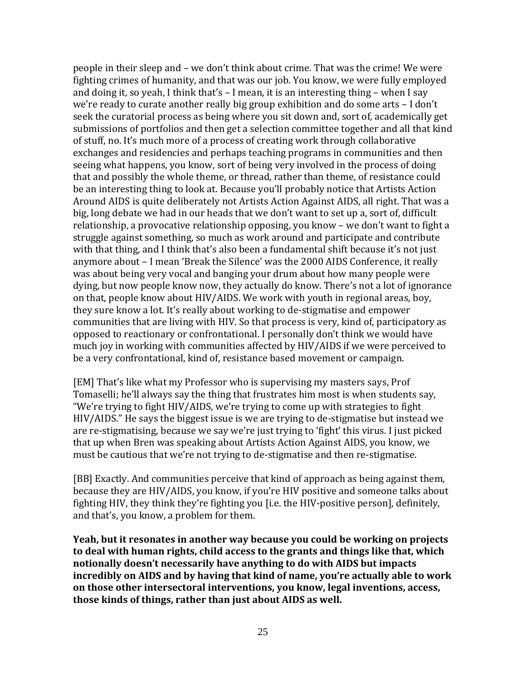people in their sleep and – we don't think about crime. That was the crime! We were fighting crimes of humanity, and that was our job. You know, we were fully employed and doing it, so yeah, I think that's – I mean, it is an interesting thing – when I say we're ready to curate another really big group exhibition and do some arts – I don't seek the curatorial process as being where you sit down and, sort of, academically get submissions of portfolios and then get a selection committee together and all that kind of stuff, no. It's much more of a process of creating work through collaborative exchanges and residencies and perhaps teaching programs in communities and then seeing what happens, you know, sort of being very involved in the process of doing that and possibly the whole theme, or thread, rather than theme, of resistance could be an interesting thing to look at. Because you'll probably notice that Artists Action Around AIDS is quite deliberately not Artists Action Against AIDS, all right. That was a big, long debate we had in our heads that we don't want to set up a, sort of, difficult relationship, a provocative relationship opposing, you know – we don't want to fight a struggle against something, so much as work around and participate and contribute with that thing, and I think that's also been a fundamental shift because it's not just anymore about – I mean 'Break the Silence' was the 2000 AIDS Conference, it really was about being very vocal and banging your drum about how many people were dying, but now people know now, they actually do know. There's not a lot of ignorance on that, people know about HIV/AIDS. We work with youth in regional areas, boy, they sure know a lot. It's really about working to de-stigmatise and empower communities that are living with HIV. So that process is very, kind of, participatory as opposed to reactionary or confrontational. I personally don't think we would have much joy in working with communities affected by HIV/AIDS if we were perceived to be a very confrontational, kind of, resistance based movement or campaign.

[EM] That's like what my Professor who is supervising my masters says, Prof Tomaselli; he'll always say the thing that frustrates him most is when students say, "We're trying to fight HIV/AIDS, we're trying to come up with strategies to fight HIV/AIDS." He says the biggest issue is we are trying to de-stigmatise but instead we are re-stigmatising, because we say we're just trying to 'fight' this virus. I just picked that up when Bren was speaking about Artists Action Against AIDS, you know, we must be cautious that we're not trying to de-stigmatise and then re-stigmatise.

[BB] Exactly. And communities perceive that kind of approach as being against them, because they are HIV/AIDS, you know, if you're HIV positive and someone talks about fighting HIV, they think they're fighting you [i.e. the HIV-positive person], definitely, and that's, you know, a problem for them.

**Yeah, but it resonates in another way because you could be working on projects to deal with human rights, child access to the grants and things like that, which notionally doesn't necessarily have anything to do with AIDS but impacts incredibly on AIDS and by having that kind of name, you're actually able to work on those other intersectoral interventions, you know, legal inventions, access, those kinds of things, rather than just about AIDS as well.**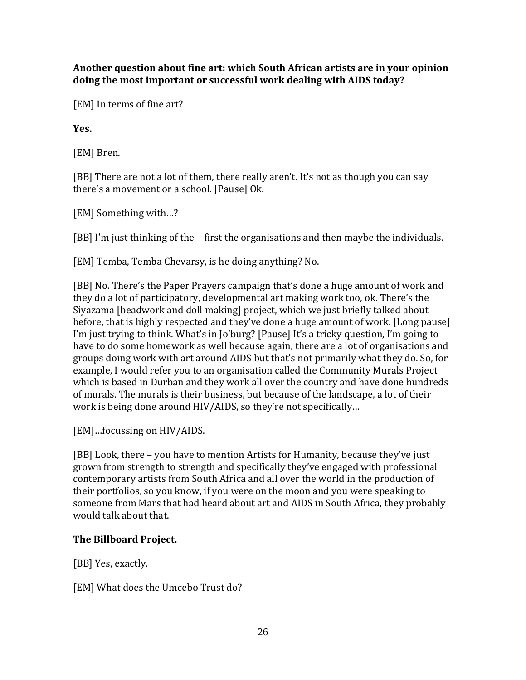**Another question about fine art: which South African artists are in your opinion doing the most important or successful work dealing with AIDS today?** 

[EM] In terms of fine art?

**Yes.** 

[EM] Bren.

[BB] There are not a lot of them, there really aren't. It's not as though you can say there's a movement or a school. [Pause] Ok.

[EM] Something with…?

[BB] I'm just thinking of the – first the organisations and then maybe the individuals.

[EM] Temba, Temba Chevarsy, is he doing anything? No.

[BB] No. There's the Paper Prayers campaign that's done a huge amount of work and they do a lot of participatory, developmental art making work too, ok. There's the Siyazama [beadwork and doll making] project, which we just briefly talked about before, that is highly respected and they've done a huge amount of work. [Long pause] I'm just trying to think. What's in Jo'burg? [Pause] It's a tricky question, I'm going to have to do some homework as well because again, there are a lot of organisations and groups doing work with art around AIDS but that's not primarily what they do. So, for example, I would refer you to an organisation called the Community Murals Project which is based in Durban and they work all over the country and have done hundreds of murals. The murals is their business, but because of the landscape, a lot of their work is being done around HIV/AIDS, so they're not specifically…

[EM]…focussing on HIV/AIDS.

[BB] Look, there – you have to mention Artists for Humanity, because they've just grown from strength to strength and specifically they've engaged with professional contemporary artists from South Africa and all over the world in the production of their portfolios, so you know, if you were on the moon and you were speaking to someone from Mars that had heard about art and AIDS in South Africa, they probably would talk about that.

# **The Billboard Project.**

[BB] Yes, exactly.

[EM] What does the Umcebo Trust do?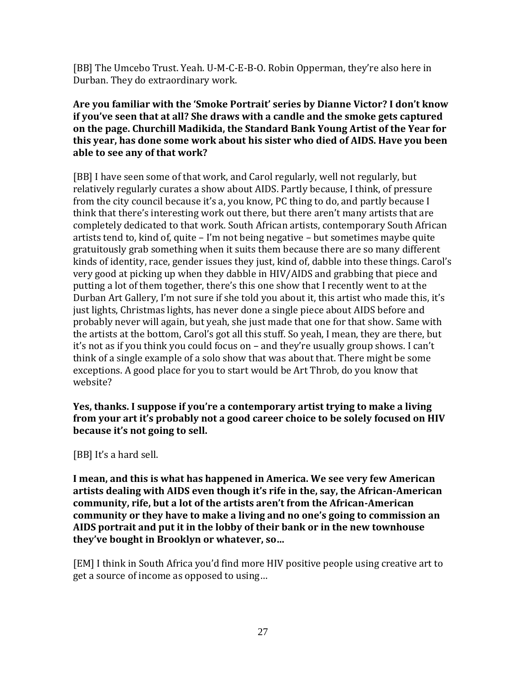[BB] The Umcebo Trust. Yeah. U-M-C-E-B-O. Robin Opperman, they're also here in Durban. They do extraordinary work.

### **Are you familiar with the 'Smoke Portrait' series by Dianne Victor? I don't know if you've seen that at all? She draws with a candle and the smoke gets captured on the page. Churchill Madikida, the Standard Bank Young Artist of the Year for this year, has done some work about his sister who died of AIDS. Have you been able to see any of that work?**

[BB] I have seen some of that work, and Carol regularly, well not regularly, but relatively regularly curates a show about AIDS. Partly because, I think, of pressure from the city council because it's a, you know, PC thing to do, and partly because I think that there's interesting work out there, but there aren't many artists that are completely dedicated to that work. South African artists, contemporary South African artists tend to, kind of, quite – I'm not being negative – but sometimes maybe quite gratuitously grab something when it suits them because there are so many different kinds of identity, race, gender issues they just, kind of, dabble into these things. Carol's very good at picking up when they dabble in HIV/AIDS and grabbing that piece and putting a lot of them together, there's this one show that I recently went to at the Durban Art Gallery, I'm not sure if she told you about it, this artist who made this, it's just lights, Christmas lights, has never done a single piece about AIDS before and probably never will again, but yeah, she just made that one for that show. Same with the artists at the bottom, Carol's got all this stuff. So yeah, I mean, they are there, but it's not as if you think you could focus on – and they're usually group shows. I can't think of a single example of a solo show that was about that. There might be some exceptions. A good place for you to start would be Art Throb, do you know that website?

**Yes, thanks. I suppose if you're a contemporary artist trying to make a living from your art it's probably not a good career choice to be solely focused on HIV because it's not going to sell.**

[BB] It's a hard sell.

**I mean, and this is what has happened in America. We see very few American artists dealing with AIDS even though it's rife in the, say, the African-American community, rife, but a lot of the artists aren't from the African-American community or they have to make a living and no one's going to commission an AIDS portrait and put it in the lobby of their bank or in the new townhouse they've bought in Brooklyn or whatever, so…**

[EM] I think in South Africa you'd find more HIV positive people using creative art to get a source of income as opposed to using…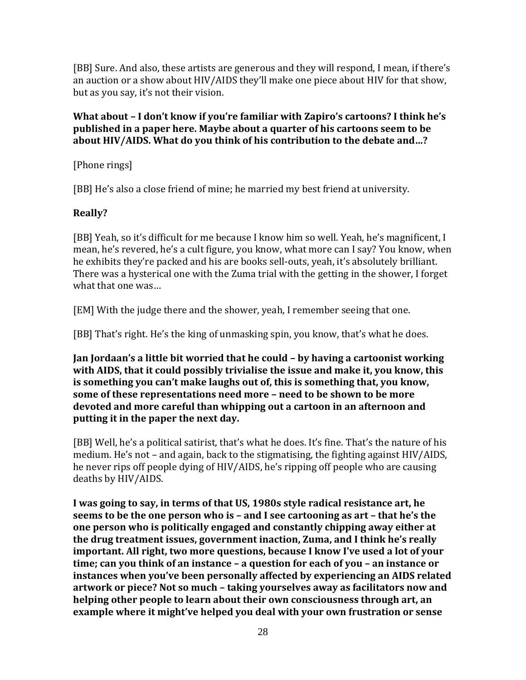[BB] Sure. And also, these artists are generous and they will respond, I mean, if there's an auction or a show about HIV/AIDS they'll make one piece about HIV for that show, but as you say, it's not their vision.

### **What about – I don't know if you're familiar with Zapiro's cartoons? I think he's published in a paper here. Maybe about a quarter of his cartoons seem to be about HIV/AIDS. What do you think of his contribution to the debate and…?**

[Phone rings]

[BB] He's also a close friend of mine; he married my best friend at university.

# **Really?**

[BB] Yeah, so it's difficult for me because I know him so well. Yeah, he's magnificent, I mean, he's revered, he's a cult figure, you know, what more can I say? You know, when he exhibits they're packed and his are books sell-outs, yeah, it's absolutely brilliant. There was a hysterical one with the Zuma trial with the getting in the shower, I forget what that one was…

[EM] With the judge there and the shower, yeah, I remember seeing that one.

[BB] That's right. He's the king of unmasking spin, you know, that's what he does.

**Jan Jordaan's a little bit worried that he could – by having a cartoonist working with AIDS, that it could possibly trivialise the issue and make it, you know, this is something you can't make laughs out of, this is something that, you know, some of these representations need more – need to be shown to be more devoted and more careful than whipping out a cartoon in an afternoon and putting it in the paper the next day.**

[BB] Well, he's a political satirist, that's what he does. It's fine. That's the nature of his medium. He's not – and again, back to the stigmatising, the fighting against HIV/AIDS, he never rips off people dying of HIV/AIDS, he's ripping off people who are causing deaths by HIV/AIDS.

**I was going to say, in terms of that US, 1980s style radical resistance art, he seems to be the one person who is – and I see cartooning as art – that he's the one person who is politically engaged and constantly chipping away either at the drug treatment issues, government inaction, Zuma, and I think he's really important. All right, two more questions, because I know I've used a lot of your time; can you think of an instance – a question for each of you – an instance or instances when you've been personally affected by experiencing an AIDS related artwork or piece? Not so much – taking yourselves away as facilitators now and helping other people to learn about their own consciousness through art, an example where it might've helped you deal with your own frustration or sense**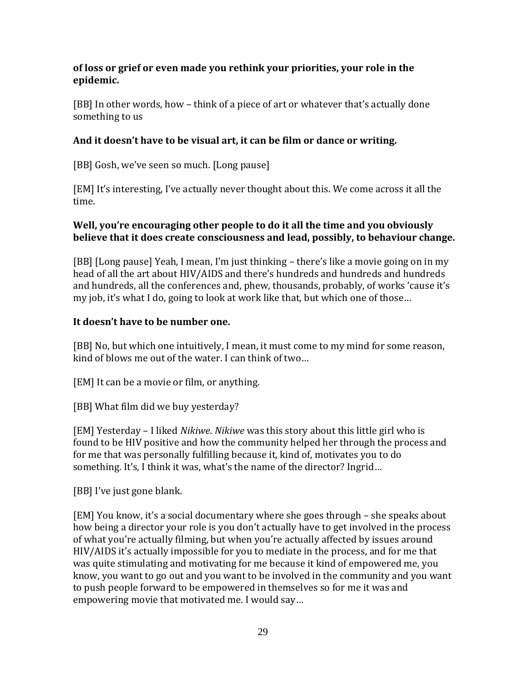### **of loss or grief or even made you rethink your priorities, your role in the epidemic.**

[BB] In other words, how – think of a piece of art or whatever that's actually done something to us

## **And it doesn't have to be visual art, it can be film or dance or writing.**

[BB] Gosh, we've seen so much. [Long pause]

[EM] It's interesting, I've actually never thought about this. We come across it all the time.

### **Well, you're encouraging other people to do it all the time and you obviously believe that it does create consciousness and lead, possibly, to behaviour change.**

[BB] [Long pause] Yeah, I mean, I'm just thinking – there's like a movie going on in my head of all the art about HIV/AIDS and there's hundreds and hundreds and hundreds and hundreds, all the conferences and, phew, thousands, probably, of works 'cause it's my job, it's what I do, going to look at work like that, but which one of those…

### **It doesn't have to be number one.**

[BB] No, but which one intuitively, I mean, it must come to my mind for some reason, kind of blows me out of the water. I can think of two…

[EM] It can be a movie or film, or anything.

[BB] What film did we buy yesterday?

[EM] Yesterday – I liked *Nikiwe*. *Nikiwe* was this story about this little girl who is found to be HIV positive and how the community helped her through the process and for me that was personally fulfilling because it, kind of, motivates you to do something. It's, I think it was, what's the name of the director? Ingrid...

[BB] I've just gone blank.

[EM] You know, it's a social documentary where she goes through – she speaks about how being a director your role is you don't actually have to get involved in the process of what you're actually filming, but when you're actually affected by issues around HIV/AIDS it's actually impossible for you to mediate in the process, and for me that was quite stimulating and motivating for me because it kind of empowered me, you know, you want to go out and you want to be involved in the community and you want to push people forward to be empowered in themselves so for me it was and empowering movie that motivated me. I would say…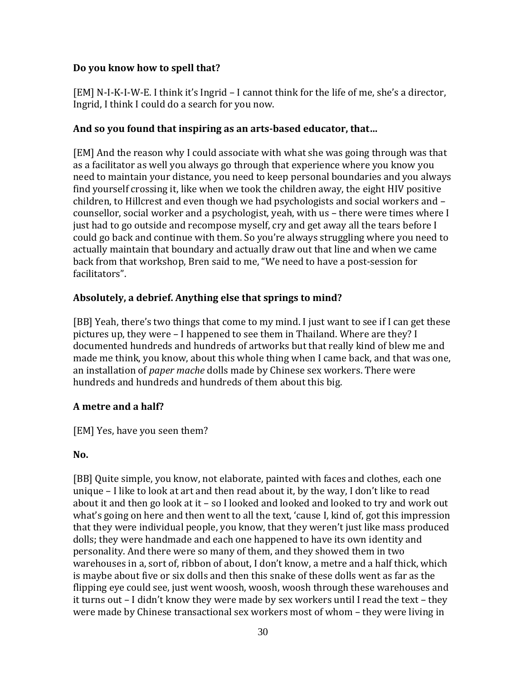### **Do you know how to spell that?**

[EM] N-I-K-I-W-E. I think it's Ingrid – I cannot think for the life of me, she's a director, Ingrid, I think I could do a search for you now.

### **And so you found that inspiring as an arts-based educator, that…**

[EM] And the reason why I could associate with what she was going through was that as a facilitator as well you always go through that experience where you know you need to maintain your distance, you need to keep personal boundaries and you always find yourself crossing it, like when we took the children away, the eight HIV positive children, to Hillcrest and even though we had psychologists and social workers and – counsellor, social worker and a psychologist, yeah, with us – there were times where I just had to go outside and recompose myself, cry and get away all the tears before I could go back and continue with them. So you're always struggling where you need to actually maintain that boundary and actually draw out that line and when we came back from that workshop, Bren said to me, "We need to have a post-session for facilitators".

# **Absolutely, a debrief. Anything else that springs to mind?**

[BB] Yeah, there's two things that come to my mind. I just want to see if I can get these pictures up, they were – I happened to see them in Thailand. Where are they? I documented hundreds and hundreds of artworks but that really kind of blew me and made me think, you know, about this whole thing when I came back, and that was one, an installation of *paper mache* dolls made by Chinese sex workers. There were hundreds and hundreds and hundreds of them about this big.

# **A metre and a half?**

[EM] Yes, have you seen them?

#### **No.**

[BB] Quite simple, you know, not elaborate, painted with faces and clothes, each one unique – I like to look at art and then read about it, by the way, I don't like to read about it and then go look at it – so I looked and looked and looked to try and work out what's going on here and then went to all the text, 'cause I, kind of, got this impression that they were individual people, you know, that they weren't just like mass produced dolls; they were handmade and each one happened to have its own identity and personality. And there were so many of them, and they showed them in two warehouses in a, sort of, ribbon of about, I don't know, a metre and a half thick, which is maybe about five or six dolls and then this snake of these dolls went as far as the flipping eye could see, just went woosh, woosh, woosh through these warehouses and it turns out – I didn't know they were made by sex workers until I read the text – they were made by Chinese transactional sex workers most of whom – they were living in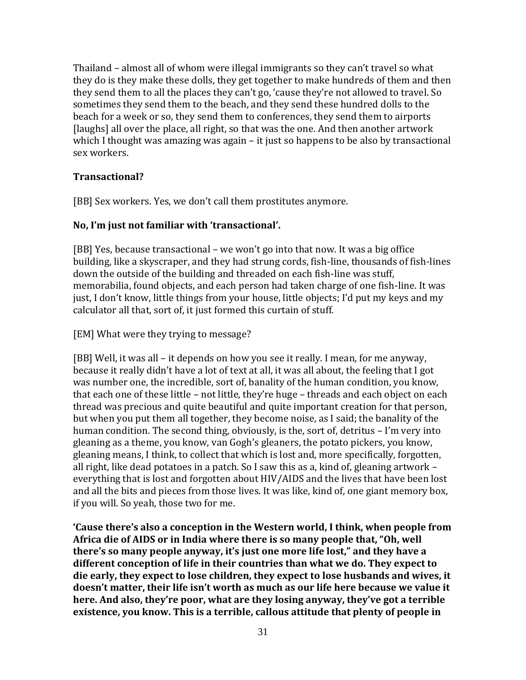Thailand – almost all of whom were illegal immigrants so they can't travel so what they do is they make these dolls, they get together to make hundreds of them and then they send them to all the places they can't go, 'cause they're not allowed to travel. So sometimes they send them to the beach, and they send these hundred dolls to the beach for a week or so, they send them to conferences, they send them to airports [laughs] all over the place, all right, so that was the one. And then another artwork which I thought was amazing was again – it just so happens to be also by transactional sex workers.

#### **Transactional?**

[BB] Sex workers. Yes, we don't call them prostitutes anymore.

# **No, I'm just not familiar with 'transactional'.**

[BB] Yes, because transactional – we won't go into that now. It was a big office building, like a skyscraper, and they had strung cords, fish-line, thousands of fish-lines down the outside of the building and threaded on each fish-line was stuff, memorabilia, found objects, and each person had taken charge of one fish-line. It was just, I don't know, little things from your house, little objects; I'd put my keys and my calculator all that, sort of, it just formed this curtain of stuff.

[EM] What were they trying to message?

[BB] Well, it was all – it depends on how you see it really. I mean, for me anyway, because it really didn't have a lot of text at all, it was all about, the feeling that I got was number one, the incredible, sort of, banality of the human condition, you know, that each one of these little – not little, they're huge – threads and each object on each thread was precious and quite beautiful and quite important creation for that person, but when you put them all together, they become noise, as I said; the banality of the human condition. The second thing, obviously, is the, sort of, detritus – I'm very into gleaning as a theme, you know, van Gogh's gleaners, the potato pickers, you know, gleaning means, I think, to collect that which is lost and, more specifically, forgotten, all right, like dead potatoes in a patch. So I saw this as a, kind of, gleaning artwork – everything that is lost and forgotten about HIV/AIDS and the lives that have been lost and all the bits and pieces from those lives. It was like, kind of, one giant memory box, if you will. So yeah, those two for me.

**'Cause there's also a conception in the Western world, I think, when people from Africa die of AIDS or in India where there is so many people that, "Oh, well there's so many people anyway, it's just one more life lost," and they have a different conception of life in their countries than what we do. They expect to die early, they expect to lose children, they expect to lose husbands and wives, it doesn't matter, their life isn't worth as much as our life here because we value it here. And also, they're poor, what are they losing anyway, they've got a terrible existence, you know. This is a terrible, callous attitude that plenty of people in**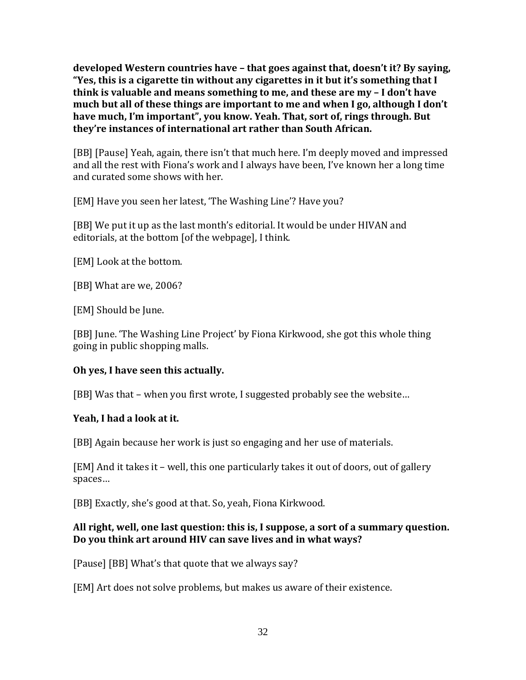**developed Western countries have – that goes against that, doesn't it? By saying, "Yes, this is a cigarette tin without any cigarettes in it but it's something that I think is valuable and means something to me, and these are my – I don't have much but all of these things are important to me and when I go, although I don't have much, I'm important", you know. Yeah. That, sort of, rings through. But they're instances of international art rather than South African.**

[BB] [Pause] Yeah, again, there isn't that much here. I'm deeply moved and impressed and all the rest with Fiona's work and I always have been, I've known her a long time and curated some shows with her.

[EM] Have you seen her latest, 'The Washing Line'? Have you?

[BB] We put it up as the last month's editorial. It would be under HIVAN and editorials, at the bottom [of the webpage], I think.

[EM] Look at the bottom.

[BB] What are we, 2006?

[EM] Should be June.

[BB] June. 'The Washing Line Project' by Fiona Kirkwood, she got this whole thing going in public shopping malls.

# **Oh yes, I have seen this actually.**

[BB] Was that – when you first wrote, I suggested probably see the website…

# **Yeah, I had a look at it.**

[BB] Again because her work is just so engaging and her use of materials.

[EM] And it takes it – well, this one particularly takes it out of doors, out of gallery spaces…

[BB] Exactly, she's good at that. So, yeah, Fiona Kirkwood.

### **All right, well, one last question: this is, I suppose, a sort of a summary question. Do you think art around HIV can save lives and in what ways?**

[Pause] [BB] What's that quote that we always say?

[EM] Art does not solve problems, but makes us aware of their existence.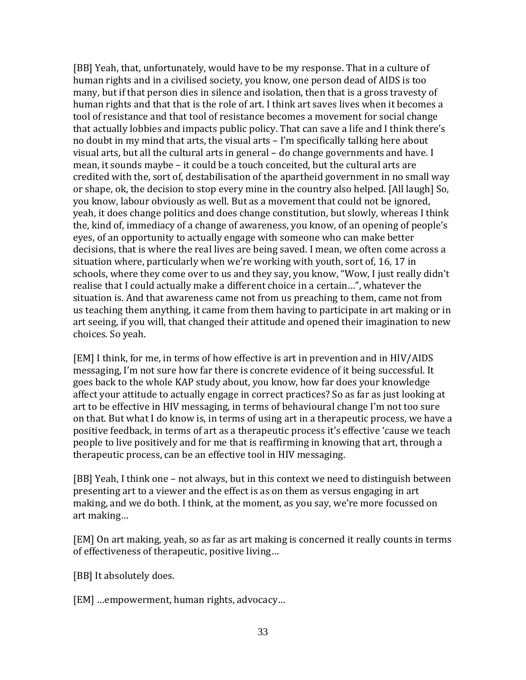[BB] Yeah, that, unfortunately, would have to be my response. That in a culture of human rights and in a civilised society, you know, one person dead of AIDS is too many, but if that person dies in silence and isolation, then that is a gross travesty of human rights and that that is the role of art. I think art saves lives when it becomes a tool of resistance and that tool of resistance becomes a movement for social change that actually lobbies and impacts public policy. That can save a life and I think there's no doubt in my mind that arts, the visual arts – I'm specifically talking here about visual arts, but all the cultural arts in general – do change governments and have. I mean, it sounds maybe – it could be a touch conceited, but the cultural arts are credited with the, sort of, destabilisation of the apartheid government in no small way or shape, ok, the decision to stop every mine in the country also helped. [All laugh] So, you know, labour obviously as well. But as a movement that could not be ignored, yeah, it does change politics and does change constitution, but slowly, whereas I think the, kind of, immediacy of a change of awareness, you know, of an opening of people's eyes, of an opportunity to actually engage with someone who can make better decisions, that is where the real lives are being saved. I mean, we often come across a situation where, particularly when we're working with youth, sort of, 16, 17 in schools, where they come over to us and they say, you know, "Wow, I just really didn't realise that I could actually make a different choice in a certain…", whatever the situation is. And that awareness came not from us preaching to them, came not from us teaching them anything, it came from them having to participate in art making or in art seeing, if you will, that changed their attitude and opened their imagination to new choices. So yeah.

[EM] I think, for me, in terms of how effective is art in prevention and in HIV/AIDS messaging, I'm not sure how far there is concrete evidence of it being successful. It goes back to the whole KAP study about, you know, how far does your knowledge affect your attitude to actually engage in correct practices? So as far as just looking at art to be effective in HIV messaging, in terms of behavioural change I'm not too sure on that. But what I do know is, in terms of using art in a therapeutic process, we have a positive feedback, in terms of art as a therapeutic process it's effective 'cause we teach people to live positively and for me that is reaffirming in knowing that art, through a therapeutic process, can be an effective tool in HIV messaging.

[BB] Yeah, I think one – not always, but in this context we need to distinguish between presenting art to a viewer and the effect is as on them as versus engaging in art making, and we do both. I think, at the moment, as you say, we're more focussed on art making…

[EM] On art making, yeah, so as far as art making is concerned it really counts in terms of effectiveness of therapeutic, positive living…

[BB] It absolutely does.

[EM] …empowerment, human rights, advocacy…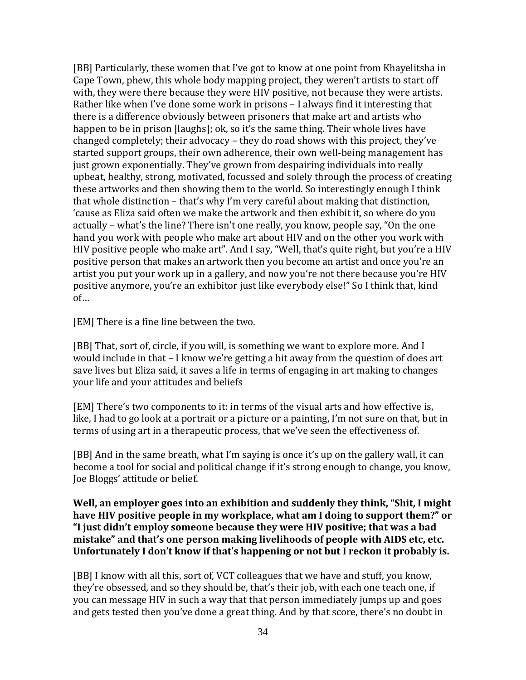[BB] Particularly, these women that I've got to know at one point from Khayelitsha in Cape Town, phew, this whole body mapping project, they weren't artists to start off with, they were there because they were HIV positive, not because they were artists. Rather like when I've done some work in prisons – I always find it interesting that there is a difference obviously between prisoners that make art and artists who happen to be in prison [laughs]; ok, so it's the same thing. Their whole lives have changed completely; their advocacy – they do road shows with this project, they've started support groups, their own adherence, their own well-being management has just grown exponentially. They've grown from despairing individuals into really upbeat, healthy, strong, motivated, focussed and solely through the process of creating these artworks and then showing them to the world. So interestingly enough I think that whole distinction – that's why I'm very careful about making that distinction, 'cause as Eliza said often we make the artwork and then exhibit it, so where do you actually – what's the line? There isn't one really, you know, people say, "On the one hand you work with people who make art about HIV and on the other you work with HIV positive people who make art". And I say, "Well, that's quite right, but you're a HIV positive person that makes an artwork then you become an artist and once you're an artist you put your work up in a gallery, and now you're not there because you're HIV positive anymore, you're an exhibitor just like everybody else!" So I think that, kind of…

[EM] There is a fine line between the two.

[BB] That, sort of, circle, if you will, is something we want to explore more. And I would include in that – I know we're getting a bit away from the question of does art save lives but Eliza said, it saves a life in terms of engaging in art making to changes your life and your attitudes and beliefs

[EM] There's two components to it: in terms of the visual arts and how effective is, like, I had to go look at a portrait or a picture or a painting, I'm not sure on that, but in terms of using art in a therapeutic process, that we've seen the effectiveness of.

[BB] And in the same breath, what I'm saying is once it's up on the gallery wall, it can become a tool for social and political change if it's strong enough to change, you know, Joe Bloggs' attitude or belief.

#### **Well, an employer goes into an exhibition and suddenly they think, "Shit, I might have HIV positive people in my workplace, what am I doing to support them?" or "I just didn't employ someone because they were HIV positive; that was a bad mistake" and that's one person making livelihoods of people with AIDS etc, etc. Unfortunately I don't know if that's happening or not but I reckon it probably is.**

[BB] I know with all this, sort of, VCT colleagues that we have and stuff, you know, they're obsessed, and so they should be, that's their job, with each one teach one, if you can message HIV in such a way that that person immediately jumps up and goes and gets tested then you've done a great thing. And by that score, there's no doubt in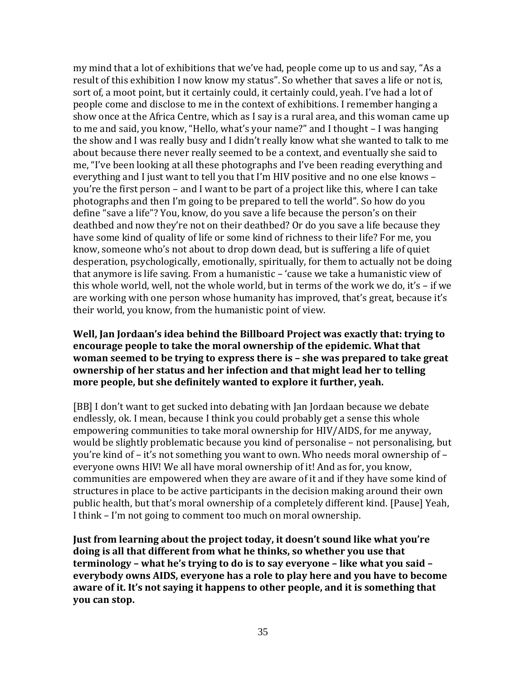my mind that a lot of exhibitions that we've had, people come up to us and say, "As a result of this exhibition I now know my status". So whether that saves a life or not is, sort of, a moot point, but it certainly could, it certainly could, yeah. I've had a lot of people come and disclose to me in the context of exhibitions. I remember hanging a show once at the Africa Centre, which as I say is a rural area, and this woman came up to me and said, you know, "Hello, what's your name?" and I thought – I was hanging the show and I was really busy and I didn't really know what she wanted to talk to me about because there never really seemed to be a context, and eventually she said to me, "I've been looking at all these photographs and I've been reading everything and everything and I just want to tell you that I'm HIV positive and no one else knows – you're the first person – and I want to be part of a project like this, where I can take photographs and then I'm going to be prepared to tell the world". So how do you define "save a life"? You, know, do you save a life because the person's on their deathbed and now they're not on their deathbed? Or do you save a life because they have some kind of quality of life or some kind of richness to their life? For me, you know, someone who's not about to drop down dead, but is suffering a life of quiet desperation, psychologically, emotionally, spiritually, for them to actually not be doing that anymore is life saving. From a humanistic – 'cause we take a humanistic view of this whole world, well, not the whole world, but in terms of the work we do, it's – if we are working with one person whose humanity has improved, that's great, because it's their world, you know, from the humanistic point of view.

### **Well, Jan Jordaan's idea behind the Billboard Project was exactly that: trying to encourage people to take the moral ownership of the epidemic. What that woman seemed to be trying to express there is – she was prepared to take great ownership of her status and her infection and that might lead her to telling more people, but she definitely wanted to explore it further, yeah.**

[BB] I don't want to get sucked into debating with Jan Jordaan because we debate endlessly, ok. I mean, because I think you could probably get a sense this whole empowering communities to take moral ownership for HIV/AIDS, for me anyway, would be slightly problematic because you kind of personalise – not personalising, but you're kind of – it's not something you want to own. Who needs moral ownership of – everyone owns HIV! We all have moral ownership of it! And as for, you know, communities are empowered when they are aware of it and if they have some kind of structures in place to be active participants in the decision making around their own public health, but that's moral ownership of a completely different kind. [Pause] Yeah, I think – I'm not going to comment too much on moral ownership.

**Just from learning about the project today, it doesn't sound like what you're doing is all that different from what he thinks, so whether you use that terminology – what he's trying to do is to say everyone – like what you said – everybody owns AIDS, everyone has a role to play here and you have to become aware of it. It's not saying it happens to other people, and it is something that you can stop.**